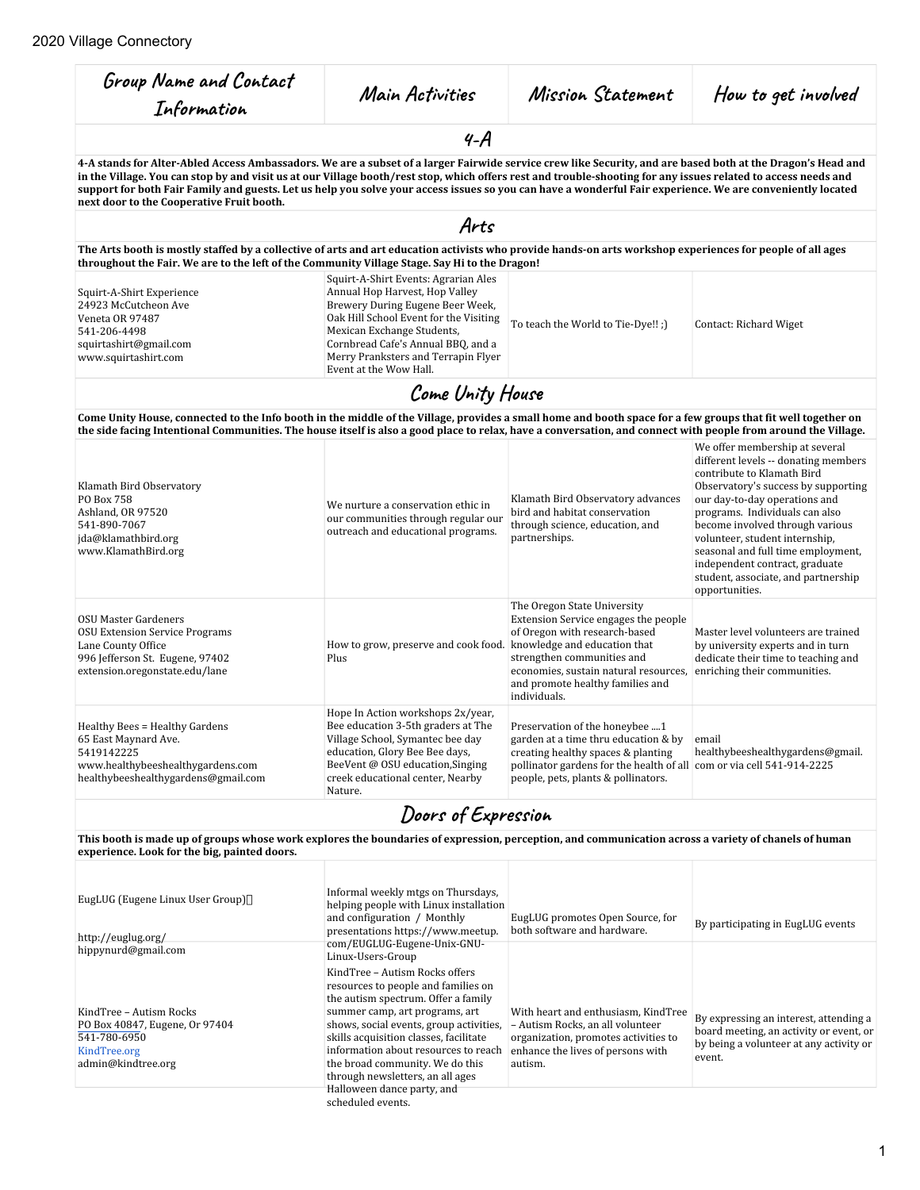| Group Name and Contact<br>Information                                                                                                                                                                                                                                                                                                                                                                                                                                                                                                    | Main Activities                                                                                                                                                                                                                                                                                                                                                                                                            | Mission Statement                                                                                                                                                                                                                                               | How to get involved                                                                                                                                                                                                                                                                                                                                                                                                  |
|------------------------------------------------------------------------------------------------------------------------------------------------------------------------------------------------------------------------------------------------------------------------------------------------------------------------------------------------------------------------------------------------------------------------------------------------------------------------------------------------------------------------------------------|----------------------------------------------------------------------------------------------------------------------------------------------------------------------------------------------------------------------------------------------------------------------------------------------------------------------------------------------------------------------------------------------------------------------------|-----------------------------------------------------------------------------------------------------------------------------------------------------------------------------------------------------------------------------------------------------------------|----------------------------------------------------------------------------------------------------------------------------------------------------------------------------------------------------------------------------------------------------------------------------------------------------------------------------------------------------------------------------------------------------------------------|
|                                                                                                                                                                                                                                                                                                                                                                                                                                                                                                                                          | $4-A$                                                                                                                                                                                                                                                                                                                                                                                                                      |                                                                                                                                                                                                                                                                 |                                                                                                                                                                                                                                                                                                                                                                                                                      |
| 4-A stands for Alter-Abled Access Ambassadors. We are a subset of a larger Fairwide service crew like Security, and are based both at the Dragon's Head and<br>in the Village. You can stop by and visit us at our Village booth/rest stop, which offers rest and trouble-shooting for any issues related to access needs and<br>support for both Fair Family and guests. Let us help you solve your access issues so you can have a wonderful Fair experience. We are conveniently located<br>next door to the Cooperative Fruit booth. |                                                                                                                                                                                                                                                                                                                                                                                                                            |                                                                                                                                                                                                                                                                 |                                                                                                                                                                                                                                                                                                                                                                                                                      |
|                                                                                                                                                                                                                                                                                                                                                                                                                                                                                                                                          | Arts                                                                                                                                                                                                                                                                                                                                                                                                                       |                                                                                                                                                                                                                                                                 |                                                                                                                                                                                                                                                                                                                                                                                                                      |
| The Arts booth is mostly staffed by a collective of arts and art education activists who provide hands-on arts workshop experiences for people of all ages<br>throughout the Fair. We are to the left of the Community Village Stage. Say Hi to the Dragon!                                                                                                                                                                                                                                                                              |                                                                                                                                                                                                                                                                                                                                                                                                                            |                                                                                                                                                                                                                                                                 |                                                                                                                                                                                                                                                                                                                                                                                                                      |
| Squirt-A-Shirt Experience<br>24923 McCutcheon Ave<br>Veneta OR 97487<br>541-206-4498<br>squirtashirt@gmail.com<br>www.squirtashirt.com                                                                                                                                                                                                                                                                                                                                                                                                   | Squirt-A-Shirt Events: Agrarian Ales<br>Annual Hop Harvest, Hop Valley<br>Brewery During Eugene Beer Week,<br>Oak Hill School Event for the Visiting<br>Mexican Exchange Students,<br>Cornbread Cafe's Annual BBQ, and a<br>Merry Pranksters and Terrapin Flyer<br>Event at the Wow Hall.                                                                                                                                  | To teach the World to Tie-Dye!! ;)                                                                                                                                                                                                                              | Contact: Richard Wiget                                                                                                                                                                                                                                                                                                                                                                                               |
|                                                                                                                                                                                                                                                                                                                                                                                                                                                                                                                                          | Come Unity House                                                                                                                                                                                                                                                                                                                                                                                                           |                                                                                                                                                                                                                                                                 |                                                                                                                                                                                                                                                                                                                                                                                                                      |
| Come Unity House, connected to the Info booth in the middle of the Village, provides a small home and booth space for a few groups that fit well together on<br>the side facing Intentional Communities. The house itself is also a good place to relax, have a conversation, and connect with people from around the Village.                                                                                                                                                                                                           |                                                                                                                                                                                                                                                                                                                                                                                                                            |                                                                                                                                                                                                                                                                 |                                                                                                                                                                                                                                                                                                                                                                                                                      |
| Klamath Bird Observatory<br>PO Box 758<br>Ashland, OR 97520<br>541-890-7067<br>jda@klamathbird.org<br>www.KlamathBird.org                                                                                                                                                                                                                                                                                                                                                                                                                | We nurture a conservation ethic in<br>our communities through regular our<br>outreach and educational programs.                                                                                                                                                                                                                                                                                                            | Klamath Bird Observatory advances<br>bird and habitat conservation<br>through science, education, and<br>partnerships.                                                                                                                                          | We offer membership at several<br>different levels -- donating members<br>contribute to Klamath Bird<br>Observatory's success by supporting<br>our day-to-day operations and<br>programs. Individuals can also<br>become involved through various<br>volunteer, student internship,<br>seasonal and full time employment,<br>independent contract, graduate<br>student, associate, and partnership<br>opportunities. |
| OSU Master Gardeners<br><b>OSU Extension Service Programs</b><br>Lane County Office<br>996 Jefferson St. Eugene, 97402<br>extension.oregonstate.edu/lane                                                                                                                                                                                                                                                                                                                                                                                 | How to grow, preserve and cook food.<br>Plus                                                                                                                                                                                                                                                                                                                                                                               | The Oregon State University<br>Extension Service engages the people<br>of Oregon with research-based<br>knowledge and education that<br>strengthen communities and<br>economies, sustain natural resources,<br>and promote healthy families and<br>individuals. | Master level volunteers are trained<br>by university experts and in turn<br>dedicate their time to teaching and<br>enriching their communities.                                                                                                                                                                                                                                                                      |
| Healthy Bees = Healthy Gardens<br>65 East Maynard Ave.<br>5419142225<br>www.healthybeeshealthygardens.com<br>healthybeeshealthygardens@gmail.com                                                                                                                                                                                                                                                                                                                                                                                         | Hope In Action workshops 2x/year,<br>Bee education 3-5th graders at The<br>Village School, Symantec bee day<br>education, Glory Bee Bee days,<br>BeeVent @ OSU education, Singing<br>creek educational center, Nearby<br>Nature.                                                                                                                                                                                           | Preservation of the honeybee 1<br>garden at a time thru education & by<br>creating healthy spaces & planting<br>pollinator gardens for the health of all com or via cell 541-914-2225<br>people, pets, plants & pollinators.                                    | email<br>healthybeeshealthygardens@gmail.                                                                                                                                                                                                                                                                                                                                                                            |
|                                                                                                                                                                                                                                                                                                                                                                                                                                                                                                                                          | Doors of Expression                                                                                                                                                                                                                                                                                                                                                                                                        |                                                                                                                                                                                                                                                                 |                                                                                                                                                                                                                                                                                                                                                                                                                      |
| This booth is made up of groups whose work explores the boundaries of expression, perception, and communication across a variety of chanels of human<br>experience. Look for the big, painted doors.                                                                                                                                                                                                                                                                                                                                     |                                                                                                                                                                                                                                                                                                                                                                                                                            |                                                                                                                                                                                                                                                                 |                                                                                                                                                                                                                                                                                                                                                                                                                      |
| EugLUG (Eugene Linux User Group)<br>http://euglug.org/<br>hippynurd@gmail.com                                                                                                                                                                                                                                                                                                                                                                                                                                                            | Informal weekly mtgs on Thursdays,<br>helping people with Linux installation<br>and configuration / Monthly<br>presentations https://www.meetup.<br>com/EUGLUG-Eugene-Unix-GNU-                                                                                                                                                                                                                                            | EugLUG promotes Open Source, for<br>both software and hardware.                                                                                                                                                                                                 | By participating in EugLUG events                                                                                                                                                                                                                                                                                                                                                                                    |
| KindTree - Autism Rocks<br>PO Box 40847, Eugene, Or 97404<br>541-780-6950<br>KindTree.org<br>admin@kindtree.org                                                                                                                                                                                                                                                                                                                                                                                                                          | Linux-Users-Group<br>KindTree - Autism Rocks offers<br>resources to people and families on<br>the autism spectrum. Offer a family<br>summer camp, art programs, art<br>shows, social events, group activities,<br>skills acquisition classes, facilitate<br>information about resources to reach<br>the broad community. We do this<br>through newsletters, an all ages<br>Halloween dance party, and<br>scheduled events. | With heart and enthusiasm, KindTree<br>- Autism Rocks, an all volunteer<br>organization, promotes activities to<br>enhance the lives of persons with<br>autism.                                                                                                 | By expressing an interest, attending a<br>board meeting, an activity or event, or<br>by being a volunteer at any activity or<br>event.                                                                                                                                                                                                                                                                               |

1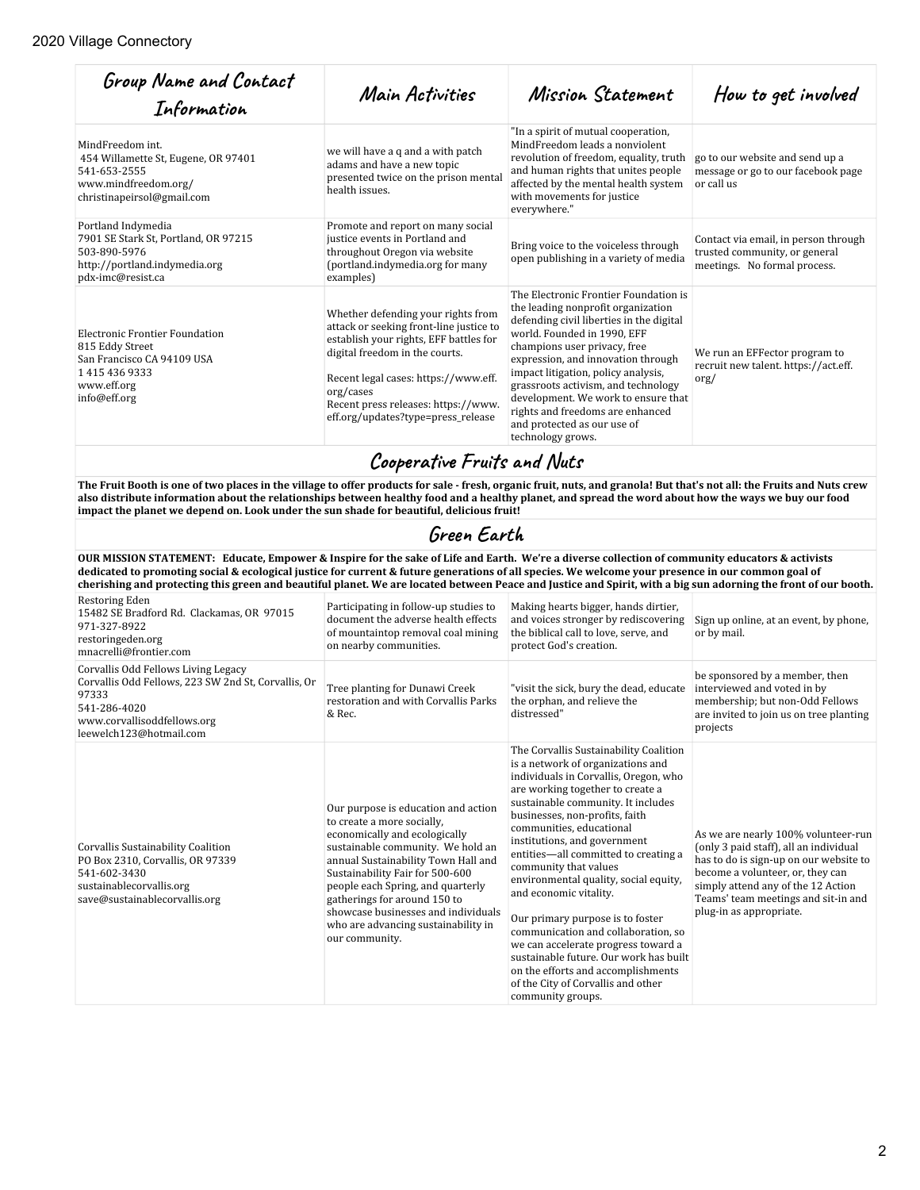| Group Name and Contact<br>Information                                                                                            | Main Activities                                                                                                                                                                                                                                                                             | Mission Statement                                                                                                                                                                                                                                                                                                                                                                                                                         | How to get involved                                                                                   |
|----------------------------------------------------------------------------------------------------------------------------------|---------------------------------------------------------------------------------------------------------------------------------------------------------------------------------------------------------------------------------------------------------------------------------------------|-------------------------------------------------------------------------------------------------------------------------------------------------------------------------------------------------------------------------------------------------------------------------------------------------------------------------------------------------------------------------------------------------------------------------------------------|-------------------------------------------------------------------------------------------------------|
| MindFreedom int.<br>454 Willamette St, Eugene, OR 97401<br>541-653-2555<br>www.mindfreedom.org/<br>christinapeirsol@gmail.com    | we will have a q and a with patch<br>adams and have a new topic<br>presented twice on the prison mental<br>health issues.                                                                                                                                                                   | "In a spirit of mutual cooperation,<br>MindFreedom leads a nonviolent<br>revolution of freedom, equality, truth<br>and human rights that unites people<br>affected by the mental health system<br>with movements for justice<br>everywhere."                                                                                                                                                                                              | go to our website and send up a<br>message or go to our facebook page<br>or call us                   |
| Portland Indymedia<br>7901 SE Stark St, Portland, OR 97215<br>503-890-5976<br>http://portland.indymedia.org<br>pdx-imc@resist.ca | Promote and report on many social<br>justice events in Portland and<br>throughout Oregon via website<br>(portland.indymedia.org for many<br>examples)                                                                                                                                       | Bring voice to the voiceless through<br>open publishing in a variety of media                                                                                                                                                                                                                                                                                                                                                             | Contact via email, in person through<br>trusted community, or general<br>meetings. No formal process. |
| Electronic Frontier Foundation<br>815 Eddy Street<br>San Francisco CA 94109 USA<br>14154369333<br>www.eff.org<br>info@eff.org    | Whether defending your rights from<br>attack or seeking front-line justice to<br>establish your rights, EFF battles for<br>digital freedom in the courts.<br>Recent legal cases: https://www.eff.<br>org/cases<br>Recent press releases: https://www.<br>eff.org/updates?type=press_release | The Electronic Frontier Foundation is<br>the leading nonprofit organization<br>defending civil liberties in the digital<br>world. Founded in 1990, EFF<br>champions user privacy, free<br>expression, and innovation through<br>impact litigation, policy analysis,<br>grassroots activism, and technology<br>development. We work to ensure that<br>rights and freedoms are enhanced<br>and protected as our use of<br>technology grows. | We run an EFFector program to<br>recruit new talent. https://act.eff.<br>$\sigma$ g/                  |

**Cooperative Fruits and Nuts** 

**The Fruit Booth is one of two places in the village to offer products for sale - fresh, organic fruit, nuts, and granola! But that's not all: the Fruits and Nuts crew also distribute information about the relationships between healthy food and a healthy planet, and spread the word about how the ways we buy our food impact the planet we depend on. Look under the sun shade for beautiful, delicious fruit!**

# Green Earth

**OUR MISSION STATEMENT: Educate, Empower & Inspire for the sake of Life and Earth. We're a diverse collection of community educators & activists dedicated to promoting social & ecological justice for current & future generations of all species. We welcome your presence in our common goal of cherishing and protecting this green and beautiful planet. We are located between Peace and Justice and Spirit, with a big sun adorning the front of our booth.**

| Restoring Eden<br>15482 SE Bradford Rd. Clackamas, OR 97015<br>971-327-8922<br>restoringeden.org<br>mnacrelli@frontier.com                                                    | Participating in follow-up studies to<br>document the adverse health effects<br>of mountaintop removal coal mining<br>on nearby communities.                                                                                                                                                                                                                                           | Making hearts bigger, hands dirtier,<br>and voices stronger by rediscovering<br>the biblical call to love, serve, and<br>protect God's creation.                                                                                                                                                                                                                                                                                                                                                                                                                                                                                                                                              | Sign up online, at an event, by phone,<br>or by mail.                                                                                                                                                                                                               |
|-------------------------------------------------------------------------------------------------------------------------------------------------------------------------------|----------------------------------------------------------------------------------------------------------------------------------------------------------------------------------------------------------------------------------------------------------------------------------------------------------------------------------------------------------------------------------------|-----------------------------------------------------------------------------------------------------------------------------------------------------------------------------------------------------------------------------------------------------------------------------------------------------------------------------------------------------------------------------------------------------------------------------------------------------------------------------------------------------------------------------------------------------------------------------------------------------------------------------------------------------------------------------------------------|---------------------------------------------------------------------------------------------------------------------------------------------------------------------------------------------------------------------------------------------------------------------|
| Corvallis Odd Fellows Living Legacy<br>Corvallis Odd Fellows, 223 SW 2nd St, Corvallis, Or<br>97333<br>541-286-4020<br>www.corvallisoddfellows.org<br>leewelch123@hotmail.com | Tree planting for Dunawi Creek<br>restoration and with Corvallis Parks<br>& Rec.                                                                                                                                                                                                                                                                                                       | "visit the sick, bury the dead, educate<br>the orphan, and relieve the<br>distressed"                                                                                                                                                                                                                                                                                                                                                                                                                                                                                                                                                                                                         | be sponsored by a member, then<br>interviewed and voted in by<br>membership; but non-Odd Fellows<br>are invited to join us on tree planting<br>projects                                                                                                             |
| Corvallis Sustainability Coalition<br>PO Box 2310, Corvallis, OR 97339<br>541-602-3430<br>sustainablecorvallis.org<br>save@sustainablecorvallis.org                           | Our purpose is education and action<br>to create a more socially.<br>economically and ecologically<br>sustainable community. We hold an<br>annual Sustainability Town Hall and<br>Sustainability Fair for 500-600<br>people each Spring, and quarterly<br>gatherings for around 150 to<br>showcase businesses and individuals<br>who are advancing sustainability in<br>our community. | The Corvallis Sustainability Coalition<br>is a network of organizations and<br>individuals in Corvallis, Oregon, who<br>are working together to create a<br>sustainable community. It includes<br>businesses, non-profits, faith<br>communities, educational<br>institutions, and government<br>entities-all committed to creating a<br>community that values<br>environmental quality, social equity,<br>and economic vitality.<br>Our primary purpose is to foster<br>communication and collaboration, so<br>we can accelerate progress toward a<br>sustainable future. Our work has built<br>on the efforts and accomplishments<br>of the City of Corvallis and other<br>community groups. | As we are nearly 100% volunteer-run<br>(only 3 paid staff), all an individual<br>has to do is sign-up on our website to<br>become a volunteer, or, they can<br>simply attend any of the 12 Action<br>Teams' team meetings and sit-in and<br>plug-in as appropriate. |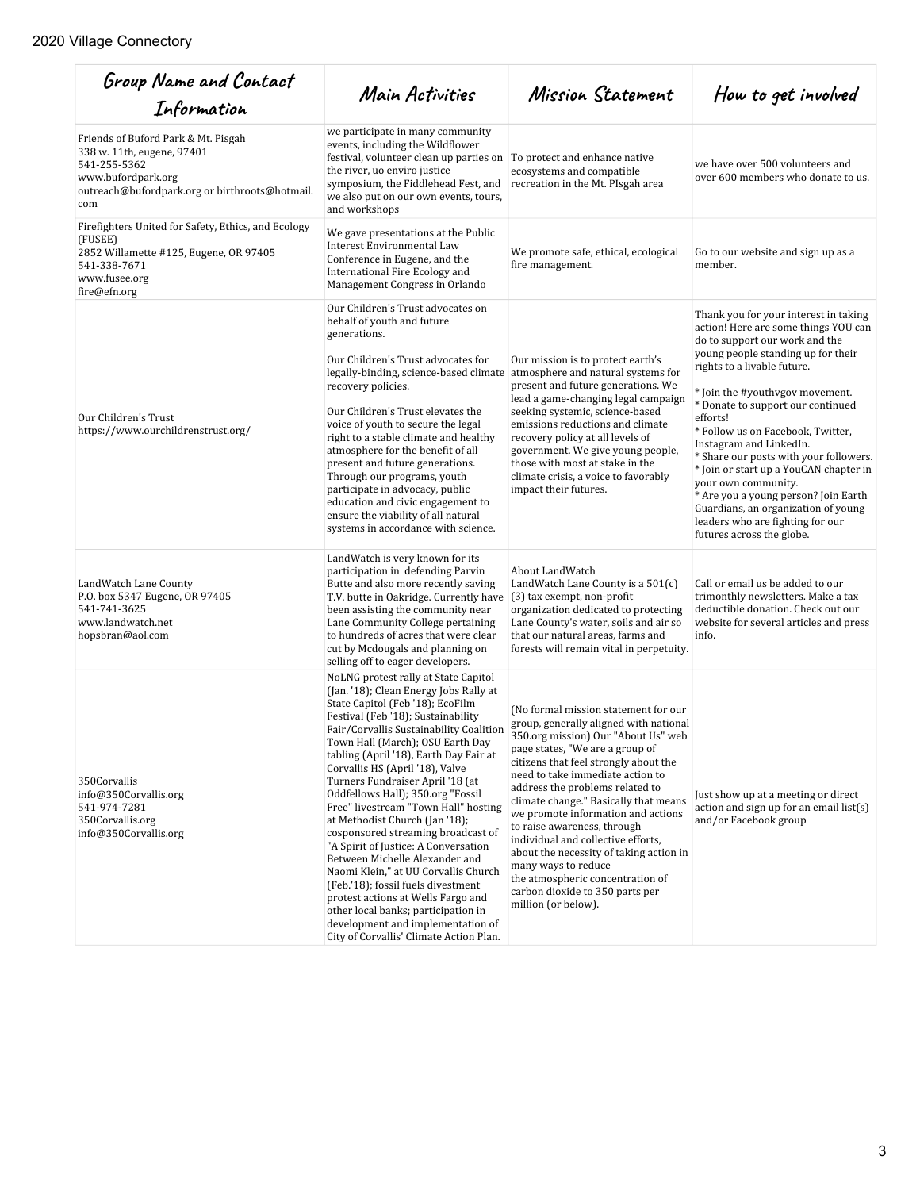| Group Name and Contact<br>Information                                                                                                                            | Main Activities                                                                                                                                                                                                                                                                                                                                                                                                                                                                                                                                                                                                                                                                                                                                                                                                                    | Mission Statement                                                                                                                                                                                                                                                                                                                                                                                                                                                                                                                                                                            | How to get involved                                                                                                                                                                                                                                                                                                                                                                                                                                                                                                                                                                                 |
|------------------------------------------------------------------------------------------------------------------------------------------------------------------|------------------------------------------------------------------------------------------------------------------------------------------------------------------------------------------------------------------------------------------------------------------------------------------------------------------------------------------------------------------------------------------------------------------------------------------------------------------------------------------------------------------------------------------------------------------------------------------------------------------------------------------------------------------------------------------------------------------------------------------------------------------------------------------------------------------------------------|----------------------------------------------------------------------------------------------------------------------------------------------------------------------------------------------------------------------------------------------------------------------------------------------------------------------------------------------------------------------------------------------------------------------------------------------------------------------------------------------------------------------------------------------------------------------------------------------|-----------------------------------------------------------------------------------------------------------------------------------------------------------------------------------------------------------------------------------------------------------------------------------------------------------------------------------------------------------------------------------------------------------------------------------------------------------------------------------------------------------------------------------------------------------------------------------------------------|
| Friends of Buford Park & Mt. Pisgah<br>338 w. 11th, eugene, 97401<br>541-255-5362<br>www.bufordpark.org<br>outreach@bufordpark.org or birthroots@hotmail.<br>com | we participate in many community<br>events, including the Wildflower<br>festival, volunteer clean up parties on<br>the river, uo enviro justice<br>symposium, the Fiddlehead Fest, and<br>we also put on our own events, tours,<br>and workshops                                                                                                                                                                                                                                                                                                                                                                                                                                                                                                                                                                                   | To protect and enhance native<br>ecosystems and compatible<br>recreation in the Mt. PIsgah area                                                                                                                                                                                                                                                                                                                                                                                                                                                                                              | we have over 500 volunteers and<br>over 600 members who donate to us.                                                                                                                                                                                                                                                                                                                                                                                                                                                                                                                               |
| Firefighters United for Safety, Ethics, and Ecology<br>(FUSEE)<br>2852 Willamette #125, Eugene, OR 97405<br>541-338-7671<br>www.fusee.org<br>fire@efn.org        | We gave presentations at the Public<br><b>Interest Environmental Law</b><br>Conference in Eugene, and the<br>International Fire Ecology and<br>Management Congress in Orlando                                                                                                                                                                                                                                                                                                                                                                                                                                                                                                                                                                                                                                                      | We promote safe, ethical, ecological<br>fire management.                                                                                                                                                                                                                                                                                                                                                                                                                                                                                                                                     | Go to our website and sign up as a<br>member.                                                                                                                                                                                                                                                                                                                                                                                                                                                                                                                                                       |
| Our Children's Trust<br>https://www.ourchildrenstrust.org/                                                                                                       | Our Children's Trust advocates on<br>behalf of youth and future<br>generations.<br>Our Children's Trust advocates for<br>legally-binding, science-based climate<br>recovery policies.<br>Our Children's Trust elevates the<br>voice of youth to secure the legal<br>right to a stable climate and healthy<br>atmosphere for the benefit of all<br>present and future generations.<br>Through our programs, youth<br>participate in advocacy, public<br>education and civic engagement to<br>ensure the viability of all natural<br>systems in accordance with science.                                                                                                                                                                                                                                                             | Our mission is to protect earth's<br>atmosphere and natural systems for<br>present and future generations. We<br>lead a game-changing legal campaign<br>seeking systemic, science-based<br>emissions reductions and climate<br>recovery policy at all levels of<br>government. We give young people,<br>those with most at stake in the<br>climate crisis, a voice to favorably<br>impact their futures.                                                                                                                                                                                     | Thank you for your interest in taking<br>action! Here are some things YOU can<br>do to support our work and the<br>young people standing up for their<br>rights to a livable future.<br>* Join the #youthvgov movement.<br>* Donate to support our continued<br>efforts!<br>* Follow us on Facebook, Twitter,<br>Instagram and LinkedIn.<br>* Share our posts with your followers.<br>* Join or start up a YouCAN chapter in<br>your own community.<br>* Are you a young person? Join Earth<br>Guardians, an organization of young<br>leaders who are fighting for our<br>futures across the globe. |
| LandWatch Lane County<br>P.O. box 5347 Eugene, OR 97405<br>541-741-3625<br>www.landwatch.net<br>hopsbran@aol.com                                                 | LandWatch is very known for its<br>participation in defending Parvin<br>Butte and also more recently saving<br>T.V. butte in Oakridge. Currently have<br>been assisting the community near<br>Lane Community College pertaining<br>to hundreds of acres that were clear<br>cut by Mcdougals and planning on<br>selling off to eager developers.                                                                                                                                                                                                                                                                                                                                                                                                                                                                                    | About LandWatch<br>LandWatch Lane County is a 501(c)<br>(3) tax exempt, non-profit<br>organization dedicated to protecting<br>Lane County's water, soils and air so<br>that our natural areas, farms and<br>forests will remain vital in perpetuity.                                                                                                                                                                                                                                                                                                                                         | Call or email us be added to our<br>trimonthly newsletters. Make a tax<br>deductible donation. Check out our<br>website for several articles and press<br>info.                                                                                                                                                                                                                                                                                                                                                                                                                                     |
| 350Corvallis<br>info@350Corvallis.org<br>541-974-7281<br>350Corvallis.org<br>info@350Corvallis.org                                                               | NoLNG protest rally at State Capitol<br>(Jan. '18); Clean Energy Jobs Rally at<br>State Capitol (Feb '18); EcoFilm<br>Festival (Feb '18); Sustainability<br>Fair/Corvallis Sustainability Coalition<br>Town Hall (March); OSU Earth Day<br>tabling (April '18), Earth Day Fair at<br>Corvallis HS (April '18), Valve<br>Turners Fundraiser April '18 (at<br>Oddfellows Hall); 350.org "Fossil<br>Free" livestream "Town Hall" hosting<br>at Methodist Church (Jan '18);<br>cosponsored streaming broadcast of<br>"A Spirit of Justice: A Conversation<br>Between Michelle Alexander and<br>Naomi Klein," at UU Corvallis Church<br>(Feb.'18); fossil fuels divestment<br>protest actions at Wells Fargo and<br>other local banks; participation in<br>development and implementation of<br>City of Corvallis' Climate Action Plan. | (No formal mission statement for our<br>group, generally aligned with national<br>350.org mission) Our "About Us" web<br>page states, "We are a group of<br>citizens that feel strongly about the<br>need to take immediate action to<br>address the problems related to<br>climate change." Basically that means<br>we promote information and actions<br>to raise awareness, through<br>individual and collective efforts,<br>about the necessity of taking action in<br>many ways to reduce<br>the atmospheric concentration of<br>carbon dioxide to 350 parts per<br>million (or below). | Just show up at a meeting or direct<br>action and sign up for an email $list(s)$<br>and/or Facebook group                                                                                                                                                                                                                                                                                                                                                                                                                                                                                           |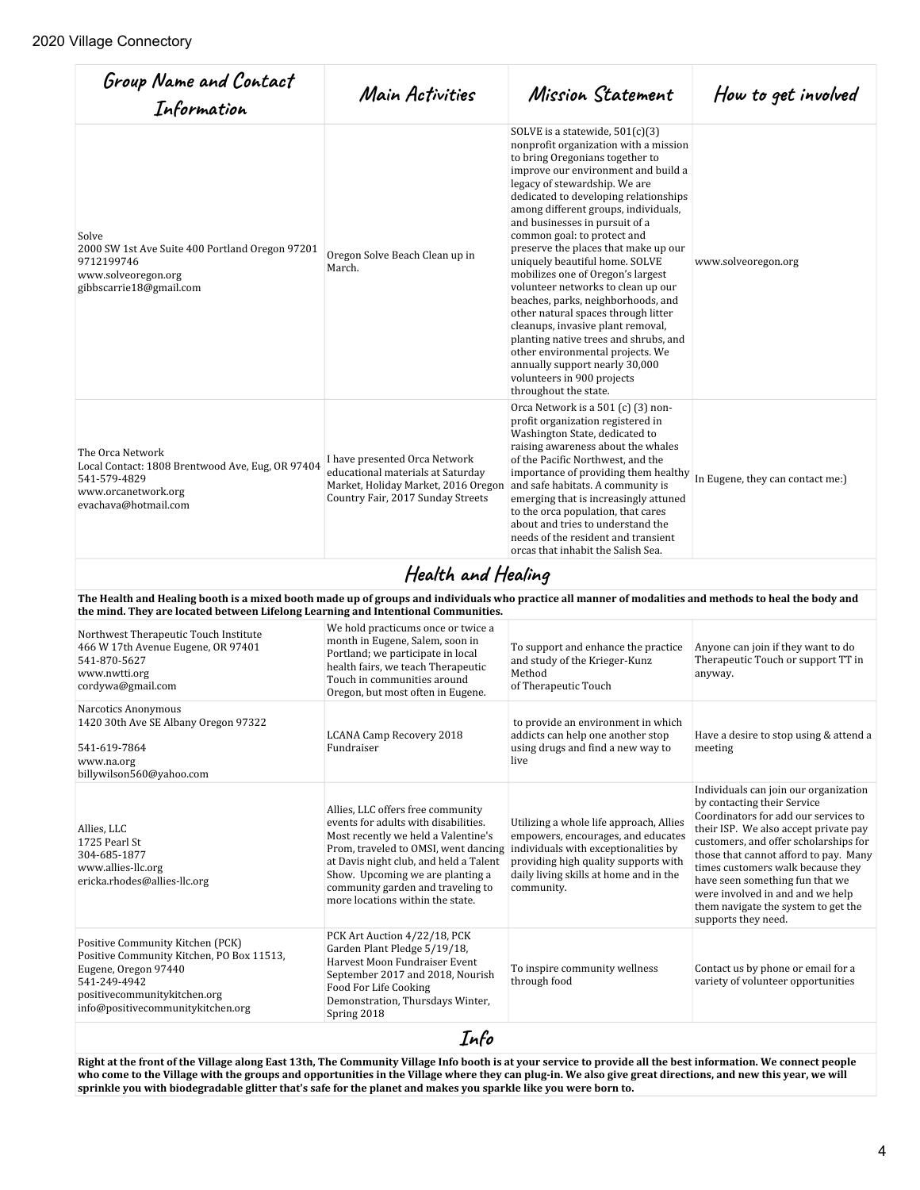| Group Name and Contact<br>Information                                                                                                                                                      | Main Activities                                                                                                                                                                                                                                                                                                 | Mission Statement                                                                                                                                                                                                                                                                                                                                                                                                                                                                                                                                                                                                                                                                                                                                                                    | How to get involved                                                                                                                                                                                                                                                                                                                                                                                               |  |
|--------------------------------------------------------------------------------------------------------------------------------------------------------------------------------------------|-----------------------------------------------------------------------------------------------------------------------------------------------------------------------------------------------------------------------------------------------------------------------------------------------------------------|--------------------------------------------------------------------------------------------------------------------------------------------------------------------------------------------------------------------------------------------------------------------------------------------------------------------------------------------------------------------------------------------------------------------------------------------------------------------------------------------------------------------------------------------------------------------------------------------------------------------------------------------------------------------------------------------------------------------------------------------------------------------------------------|-------------------------------------------------------------------------------------------------------------------------------------------------------------------------------------------------------------------------------------------------------------------------------------------------------------------------------------------------------------------------------------------------------------------|--|
| Solve<br>2000 SW 1st Ave Suite 400 Portland Oregon 97201<br>9712199746<br>www.solveoregon.org<br>gibbscarrie18@gmail.com                                                                   | Oregon Solve Beach Clean up in<br>March.                                                                                                                                                                                                                                                                        | SOLVE is a statewide, $501(c)(3)$<br>nonprofit organization with a mission<br>to bring Oregonians together to<br>improve our environment and build a<br>legacy of stewardship. We are<br>dedicated to developing relationships<br>among different groups, individuals,<br>and businesses in pursuit of a<br>common goal: to protect and<br>preserve the places that make up our<br>uniquely beautiful home. SOLVE<br>mobilizes one of Oregon's largest<br>volunteer networks to clean up our<br>beaches, parks, neighborhoods, and<br>other natural spaces through litter<br>cleanups, invasive plant removal,<br>planting native trees and shrubs, and<br>other environmental projects. We<br>annually support nearly 30,000<br>volunteers in 900 projects<br>throughout the state. | www.solveoregon.org                                                                                                                                                                                                                                                                                                                                                                                               |  |
| The Orca Network<br>Local Contact: 1808 Brentwood Ave, Eug, OR 97404<br>541-579-4829<br>www.orcanetwork.org<br>evachava@hotmail.com                                                        | I have presented Orca Network<br>educational materials at Saturday<br>Market, Holiday Market, 2016 Oregon<br>Country Fair, 2017 Sunday Streets                                                                                                                                                                  | Orca Network is a 501 (c) (3) non-<br>profit organization registered in<br>Washington State, dedicated to<br>raising awareness about the whales<br>of the Pacific Northwest, and the<br>importance of providing them healthy<br>and safe habitats. A community is<br>emerging that is increasingly attuned<br>to the orca population, that cares<br>about and tries to understand the<br>needs of the resident and transient<br>orcas that inhabit the Salish Sea.                                                                                                                                                                                                                                                                                                                   | In Eugene, they can contact me:)                                                                                                                                                                                                                                                                                                                                                                                  |  |
| The Health and Healing booth is a mixed booth made up of groups and individuals who practice all manner of modalities and methods to heal the body and                                     | Health and Healing                                                                                                                                                                                                                                                                                              |                                                                                                                                                                                                                                                                                                                                                                                                                                                                                                                                                                                                                                                                                                                                                                                      |                                                                                                                                                                                                                                                                                                                                                                                                                   |  |
| the mind. They are located between Lifelong Learning and Intentional Communities.                                                                                                          |                                                                                                                                                                                                                                                                                                                 |                                                                                                                                                                                                                                                                                                                                                                                                                                                                                                                                                                                                                                                                                                                                                                                      |                                                                                                                                                                                                                                                                                                                                                                                                                   |  |
| Northwest Therapeutic Touch Institute<br>466 W 17th Avenue Eugene, OR 97401<br>541-870-5627<br>www.nwtti.org<br>cordywa@gmail.com                                                          | We hold practicums once or twice a<br>month in Eugene, Salem, soon in<br>Portland; we participate in local<br>health fairs, we teach Therapeutic<br>Touch in communities around<br>Oregon, but most often in Eugene.                                                                                            | To support and enhance the practice<br>and study of the Krieger-Kunz<br>Method<br>of Therapeutic Touch                                                                                                                                                                                                                                                                                                                                                                                                                                                                                                                                                                                                                                                                               | Anyone can join if they want to do<br>Therapeutic Touch or support TT in<br>anyway.                                                                                                                                                                                                                                                                                                                               |  |
| Narcotics Anonymous<br>1420 30th Ave SE Albany Oregon 97322<br>541-619-7864<br>www.na.org<br>billywilson560@yahoo.com                                                                      | LCANA Camp Recovery 2018<br>Fundraiser                                                                                                                                                                                                                                                                          | to provide an environment in which<br>addicts can help one another stop<br>using drugs and find a new way to<br>live                                                                                                                                                                                                                                                                                                                                                                                                                                                                                                                                                                                                                                                                 | Have a desire to stop using & attend a<br>meeting                                                                                                                                                                                                                                                                                                                                                                 |  |
| Allies, LLC<br>1725 Pearl St<br>304-685-1877<br>www.allies-llc.org<br>ericka.rhodes@allies-llc.org                                                                                         | Allies, LLC offers free community<br>events for adults with disabilities.<br>Most recently we held a Valentine's<br>Prom, traveled to OMSI, went dancing<br>at Davis night club, and held a Talent<br>Show. Upcoming we are planting a<br>community garden and traveling to<br>more locations within the state. | Utilizing a whole life approach, Allies<br>empowers, encourages, and educates<br>individuals with exceptionalities by<br>providing high quality supports with<br>daily living skills at home and in the<br>community.                                                                                                                                                                                                                                                                                                                                                                                                                                                                                                                                                                | Individuals can join our organization<br>by contacting their Service<br>Coordinators for add our services to<br>their ISP. We also accept private pay<br>customers, and offer scholarships for<br>those that cannot afford to pay. Many<br>times customers walk because they<br>have seen something fun that we<br>were involved in and and we help<br>them navigate the system to get the<br>supports they need. |  |
| Positive Community Kitchen (PCK)<br>Positive Community Kitchen, PO Box 11513,<br>Eugene, Oregon 97440<br>541-249-4942<br>positivecommunitykitchen.org<br>info@positivecommunitykitchen.org | PCK Art Auction 4/22/18, PCK<br>Garden Plant Pledge 5/19/18,<br>Harvest Moon Fundraiser Event<br>September 2017 and 2018, Nourish<br>Food For Life Cooking<br>Demonstration, Thursdays Winter,<br>Spring 2018                                                                                                   | To inspire community wellness<br>through food                                                                                                                                                                                                                                                                                                                                                                                                                                                                                                                                                                                                                                                                                                                                        | Contact us by phone or email for a<br>variety of volunteer opportunities                                                                                                                                                                                                                                                                                                                                          |  |
| Info                                                                                                                                                                                       |                                                                                                                                                                                                                                                                                                                 |                                                                                                                                                                                                                                                                                                                                                                                                                                                                                                                                                                                                                                                                                                                                                                                      |                                                                                                                                                                                                                                                                                                                                                                                                                   |  |

**Right at the front of the Village along East 13th, The Community Village Info booth is at your service to provide all the best information. We connect people who come to the Village with the groups and opportunities in the Village where they can plug-in. We also give great directions, and new this year, we will sprinkle you with biodegradable glitter that's safe for the planet and makes you sparkle like you were born to.**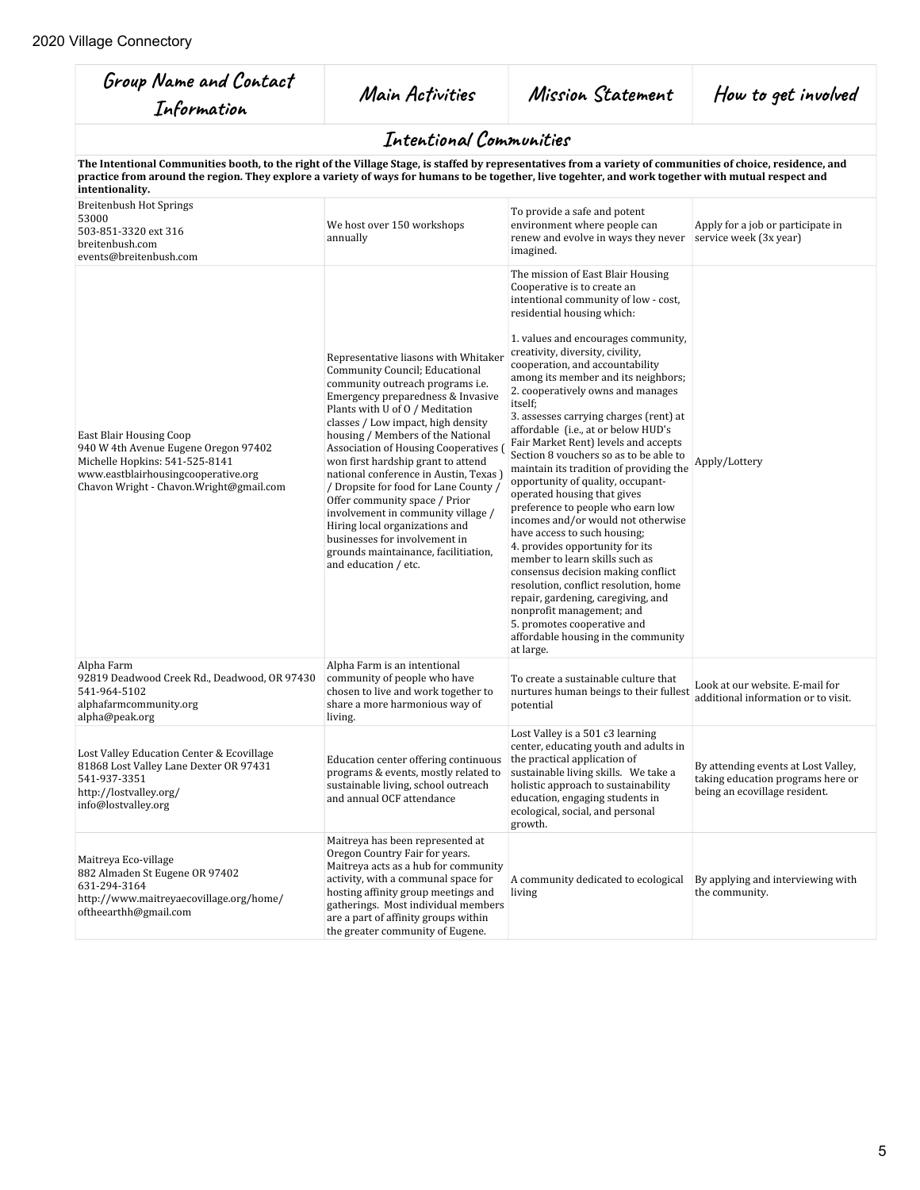| Group Name and Contact<br>Information                                                                                                                                                                                                                                                                                                 | Main Activities                                                                                                                                                                                                                                                                                                                                                                                                                                                                                                                                                                                                                       | Mission Statement                                                                                                                                                                                                                                                                                                                                                                                                                                                                                                                                                                                                                                                                                                                                                                                                                                                                                                                                                                                                                                  | How to get involved                                                                                       |
|---------------------------------------------------------------------------------------------------------------------------------------------------------------------------------------------------------------------------------------------------------------------------------------------------------------------------------------|---------------------------------------------------------------------------------------------------------------------------------------------------------------------------------------------------------------------------------------------------------------------------------------------------------------------------------------------------------------------------------------------------------------------------------------------------------------------------------------------------------------------------------------------------------------------------------------------------------------------------------------|----------------------------------------------------------------------------------------------------------------------------------------------------------------------------------------------------------------------------------------------------------------------------------------------------------------------------------------------------------------------------------------------------------------------------------------------------------------------------------------------------------------------------------------------------------------------------------------------------------------------------------------------------------------------------------------------------------------------------------------------------------------------------------------------------------------------------------------------------------------------------------------------------------------------------------------------------------------------------------------------------------------------------------------------------|-----------------------------------------------------------------------------------------------------------|
|                                                                                                                                                                                                                                                                                                                                       | Intentional Communities                                                                                                                                                                                                                                                                                                                                                                                                                                                                                                                                                                                                               |                                                                                                                                                                                                                                                                                                                                                                                                                                                                                                                                                                                                                                                                                                                                                                                                                                                                                                                                                                                                                                                    |                                                                                                           |
| The Intentional Communities booth, to the right of the Village Stage, is staffed by representatives from a variety of communities of choice, residence, and<br>practice from around the region. They explore a variety of ways for humans to be together, live togehter, and work together with mutual respect and<br>intentionality. |                                                                                                                                                                                                                                                                                                                                                                                                                                                                                                                                                                                                                                       |                                                                                                                                                                                                                                                                                                                                                                                                                                                                                                                                                                                                                                                                                                                                                                                                                                                                                                                                                                                                                                                    |                                                                                                           |
| <b>Breitenbush Hot Springs</b><br>53000<br>503-851-3320 ext 316<br>breitenbush.com<br>events@breitenbush.com                                                                                                                                                                                                                          | We host over 150 workshops<br>annually                                                                                                                                                                                                                                                                                                                                                                                                                                                                                                                                                                                                | To provide a safe and potent<br>environment where people can<br>renew and evolve in ways they never<br>imagined.                                                                                                                                                                                                                                                                                                                                                                                                                                                                                                                                                                                                                                                                                                                                                                                                                                                                                                                                   | Apply for a job or participate in<br>service week (3x year)                                               |
| <b>East Blair Housing Coop</b><br>940 W 4th Avenue Eugene Oregon 97402<br>Michelle Hopkins: 541-525-8141<br>www.eastblairhousingcooperative.org<br>Chavon Wright - Chavon.Wright@gmail.com                                                                                                                                            | Representative liasons with Whitaker<br>Community Council; Educational<br>community outreach programs i.e.<br>Emergency preparedness & Invasive<br>Plants with U of 0 / Meditation<br>classes / Low impact, high density<br>housing / Members of the National<br>Association of Housing Cooperatives<br>won first hardship grant to attend<br>national conference in Austin, Texas ]<br>/ Dropsite for food for Lane County<br>Offer community space / Prior<br>involvement in community village /<br>Hiring local organizations and<br>businesses for involvement in<br>grounds maintainance, facilitiation,<br>and education / etc. | The mission of East Blair Housing<br>Cooperative is to create an<br>intentional community of low - cost,<br>residential housing which:<br>1. values and encourages community,<br>creativity, diversity, civility,<br>cooperation, and accountability<br>among its member and its neighbors;<br>2. cooperatively owns and manages<br>itself;<br>3. assesses carrying charges (rent) at<br>affordable (i.e., at or below HUD's<br>Fair Market Rent) levels and accepts<br>Section 8 vouchers so as to be able to<br>maintain its tradition of providing the<br>opportunity of quality, occupant-<br>operated housing that gives<br>preference to people who earn low<br>incomes and/or would not otherwise<br>have access to such housing;<br>4. provides opportunity for its<br>member to learn skills such as<br>consensus decision making conflict<br>resolution, conflict resolution, home<br>repair, gardening, caregiving, and<br>nonprofit management; and<br>5. promotes cooperative and<br>affordable housing in the community<br>at large. | Apply/Lottery                                                                                             |
| Alpha Farm<br>92819 Deadwood Creek Rd., Deadwood, OR 97430<br>541-964-5102<br>alphafarmcommunity.org<br>alpha@peak.org                                                                                                                                                                                                                | Alpha Farm is an intentional<br>community of people who have<br>chosen to live and work together to<br>share a more harmonious way of<br>living.                                                                                                                                                                                                                                                                                                                                                                                                                                                                                      | To create a sustainable culture that<br>nurtures human beings to their fullest<br>potential                                                                                                                                                                                                                                                                                                                                                                                                                                                                                                                                                                                                                                                                                                                                                                                                                                                                                                                                                        | Look at our website. E-mail for<br>additional information or to visit.                                    |
| Lost Valley Education Center & Ecovillage<br>81868 Lost Valley Lane Dexter OR 97431<br>541-937-3351<br>http://lostvalley.org/<br>info@lostvalley.org                                                                                                                                                                                  | Education center offering continuous<br>programs & events, mostly related to<br>sustainable living, school outreach<br>and annual OCF attendance                                                                                                                                                                                                                                                                                                                                                                                                                                                                                      | Lost Valley is a 501 c3 learning<br>center, educating youth and adults in<br>the practical application of<br>sustainable living skills. We take a<br>holistic approach to sustainability<br>education, engaging students in<br>ecological, social, and personal<br>growth.                                                                                                                                                                                                                                                                                                                                                                                                                                                                                                                                                                                                                                                                                                                                                                         | By attending events at Lost Valley,<br>taking education programs here or<br>being an ecovillage resident. |
| Maitreya Eco-village<br>882 Almaden St Eugene OR 97402<br>631-294-3164<br>http://www.maitreyaecovillage.org/home/<br>oftheearthh@gmail.com                                                                                                                                                                                            | Maitreya has been represented at<br>Oregon Country Fair for years.<br>Maitreya acts as a hub for community<br>activity, with a communal space for<br>hosting affinity group meetings and<br>gatherings. Most individual members<br>are a part of affinity groups within<br>the greater community of Eugene.                                                                                                                                                                                                                                                                                                                           | A community dedicated to ecological<br>living                                                                                                                                                                                                                                                                                                                                                                                                                                                                                                                                                                                                                                                                                                                                                                                                                                                                                                                                                                                                      | By applying and interviewing with<br>the community.                                                       |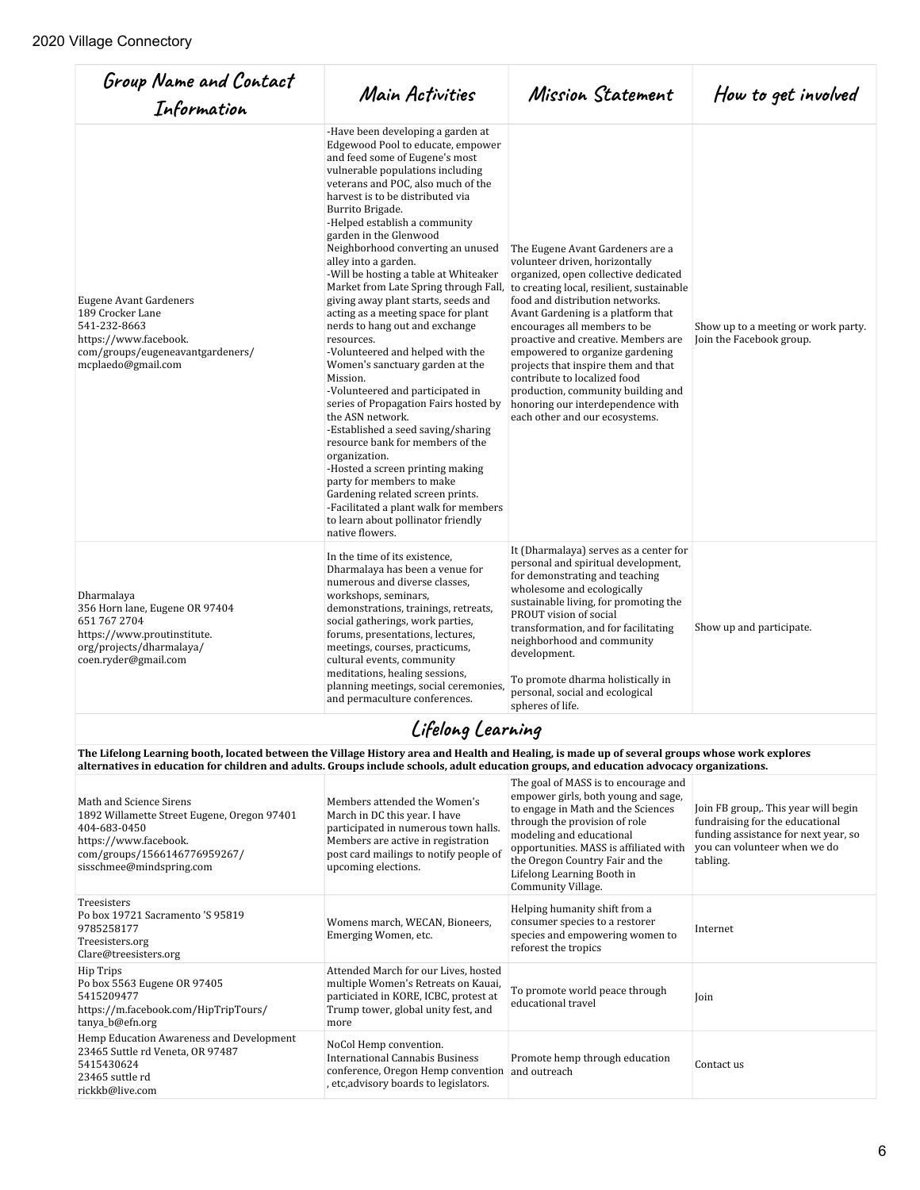5415430624 23465 suttle rd rickkb@live.com

| Group Name and Contact<br>Information                                                                                                                                                                                                                                                      | Main Activities                                                                                                                                                                                                                                                                                                                                                                                                                                                                                                                                                                                                                                                                                                                                                                                                                                                                                                                                                                                                                                                          | Mission Statement                                                                                                                                                                                                                                                                                                                                                                                                                                                                                                              | How to get involved                                                                                                                                         |
|--------------------------------------------------------------------------------------------------------------------------------------------------------------------------------------------------------------------------------------------------------------------------------------------|--------------------------------------------------------------------------------------------------------------------------------------------------------------------------------------------------------------------------------------------------------------------------------------------------------------------------------------------------------------------------------------------------------------------------------------------------------------------------------------------------------------------------------------------------------------------------------------------------------------------------------------------------------------------------------------------------------------------------------------------------------------------------------------------------------------------------------------------------------------------------------------------------------------------------------------------------------------------------------------------------------------------------------------------------------------------------|--------------------------------------------------------------------------------------------------------------------------------------------------------------------------------------------------------------------------------------------------------------------------------------------------------------------------------------------------------------------------------------------------------------------------------------------------------------------------------------------------------------------------------|-------------------------------------------------------------------------------------------------------------------------------------------------------------|
| <b>Eugene Avant Gardeners</b><br>189 Crocker Lane<br>541-232-8663<br>https://www.facebook.<br>com/groups/eugeneavantgardeners/<br>mcplaedo@gmail.com                                                                                                                                       | -Have been developing a garden at<br>Edgewood Pool to educate, empower<br>and feed some of Eugene's most<br>vulnerable populations including<br>veterans and POC, also much of the<br>harvest is to be distributed via<br>Burrito Brigade.<br>-Helped establish a community<br>garden in the Glenwood<br>Neighborhood converting an unused<br>alley into a garden.<br>-Will be hosting a table at Whiteaker<br>Market from Late Spring through Fall,<br>giving away plant starts, seeds and<br>acting as a meeting space for plant<br>nerds to hang out and exchange<br>resources.<br>-Volunteered and helped with the<br>Women's sanctuary garden at the<br>Mission.<br>-Volunteered and participated in<br>series of Propagation Fairs hosted by<br>the ASN network.<br>-Established a seed saving/sharing<br>resource bank for members of the<br>organization.<br>-Hosted a screen printing making<br>party for members to make<br>Gardening related screen prints.<br>-Facilitated a plant walk for members<br>to learn about pollinator friendly<br>native flowers. | The Eugene Avant Gardeners are a<br>volunteer driven, horizontally<br>organized, open collective dedicated<br>to creating local, resilient, sustainable<br>food and distribution networks.<br>Avant Gardening is a platform that<br>encourages all members to be<br>proactive and creative. Members are<br>empowered to organize gardening<br>projects that inspire them and that<br>contribute to localized food<br>production, community building and<br>honoring our interdependence with<br>each other and our ecosystems. | Show up to a meeting or work party.<br>Join the Facebook group.                                                                                             |
| Dharmalaya<br>356 Horn lane, Eugene OR 97404<br>651 767 2704<br>https://www.proutinstitute.<br>org/projects/dharmalaya/<br>coen.ryder@gmail.com                                                                                                                                            | In the time of its existence,<br>Dharmalaya has been a venue for<br>numerous and diverse classes.<br>workshops, seminars,<br>demonstrations, trainings, retreats,<br>social gatherings, work parties,<br>forums, presentations, lectures,<br>meetings, courses, practicums,<br>cultural events, community<br>meditations, healing sessions,<br>planning meetings, social ceremonies,<br>and permaculture conferences.                                                                                                                                                                                                                                                                                                                                                                                                                                                                                                                                                                                                                                                    | It (Dharmalaya) serves as a center for<br>personal and spiritual development,<br>for demonstrating and teaching<br>wholesome and ecologically<br>sustainable living, for promoting the<br>PROUT vision of social<br>transformation, and for facilitating<br>neighborhood and community<br>development.<br>To promote dharma holistically in<br>personal, social and ecological<br>spheres of life.                                                                                                                             | Show up and participate.                                                                                                                                    |
|                                                                                                                                                                                                                                                                                            | Lifelong Learning                                                                                                                                                                                                                                                                                                                                                                                                                                                                                                                                                                                                                                                                                                                                                                                                                                                                                                                                                                                                                                                        |                                                                                                                                                                                                                                                                                                                                                                                                                                                                                                                                |                                                                                                                                                             |
| The Lifelong Learning booth, located between the Village History area and Health and Healing, is made up of several groups whose work explores<br>alternatives in education for children and adults. Groups include schools, adult education groups, and education advocacy organizations. |                                                                                                                                                                                                                                                                                                                                                                                                                                                                                                                                                                                                                                                                                                                                                                                                                                                                                                                                                                                                                                                                          |                                                                                                                                                                                                                                                                                                                                                                                                                                                                                                                                |                                                                                                                                                             |
| Math and Science Sirens<br>1892 Willamette Street Eugene, Oregon 97401<br>404-683-0450<br>https://www.facebook.<br>com/groups/1566146776959267/<br>sisschmee@mindspring.com                                                                                                                | Members attended the Women's<br>March in DC this year. I have<br>participated in numerous town halls.<br>Members are active in registration<br>post card mailings to notify people of<br>upcoming elections.                                                                                                                                                                                                                                                                                                                                                                                                                                                                                                                                                                                                                                                                                                                                                                                                                                                             | The goal of MASS is to encourage and<br>empower girls, both young and sage,<br>to engage in Math and the Sciences<br>through the provision of role<br>modeling and educational<br>opportunities. MASS is affiliated with<br>the Oregon Country Fair and the<br>Lifelong Learning Booth in<br>Community Village.                                                                                                                                                                                                                | Join FB group,. This year will begin<br>fundraising for the educational<br>funding assistance for next year, so<br>you can volunteer when we do<br>tabling. |
| Treesisters<br>Po box 19721 Sacramento 'S 95819<br>9785258177<br>Treesisters.org<br>Clare@treesisters.org                                                                                                                                                                                  | Womens march, WECAN, Bioneers,<br>Emerging Women, etc.                                                                                                                                                                                                                                                                                                                                                                                                                                                                                                                                                                                                                                                                                                                                                                                                                                                                                                                                                                                                                   | Helping humanity shift from a<br>consumer species to a restorer<br>species and empowering women to<br>reforest the tropics                                                                                                                                                                                                                                                                                                                                                                                                     | Internet                                                                                                                                                    |
| Hip Trips<br>Po box 5563 Eugene OR 97405<br>5415209477<br>https://m.facebook.com/HipTripTours/<br>tanya_b@efn.org                                                                                                                                                                          | Attended March for our Lives, hosted<br>multiple Women's Retreats on Kauai,<br>particiated in KORE, ICBC, protest at<br>Trump tower, global unity fest, and<br>more                                                                                                                                                                                                                                                                                                                                                                                                                                                                                                                                                                                                                                                                                                                                                                                                                                                                                                      | To promote world peace through<br>educational travel                                                                                                                                                                                                                                                                                                                                                                                                                                                                           | Join                                                                                                                                                        |
| Hemp Education Awareness and Development<br>23465 Suttle rd Veneta, OR 97487                                                                                                                                                                                                               | NoCol Hemp convention.                                                                                                                                                                                                                                                                                                                                                                                                                                                                                                                                                                                                                                                                                                                                                                                                                                                                                                                                                                                                                                                   |                                                                                                                                                                                                                                                                                                                                                                                                                                                                                                                                |                                                                                                                                                             |

International Cannabis Business conference, Oregon Hemp convention , etc,advisory boards to legislators.

Promote hemp through education [Contact us]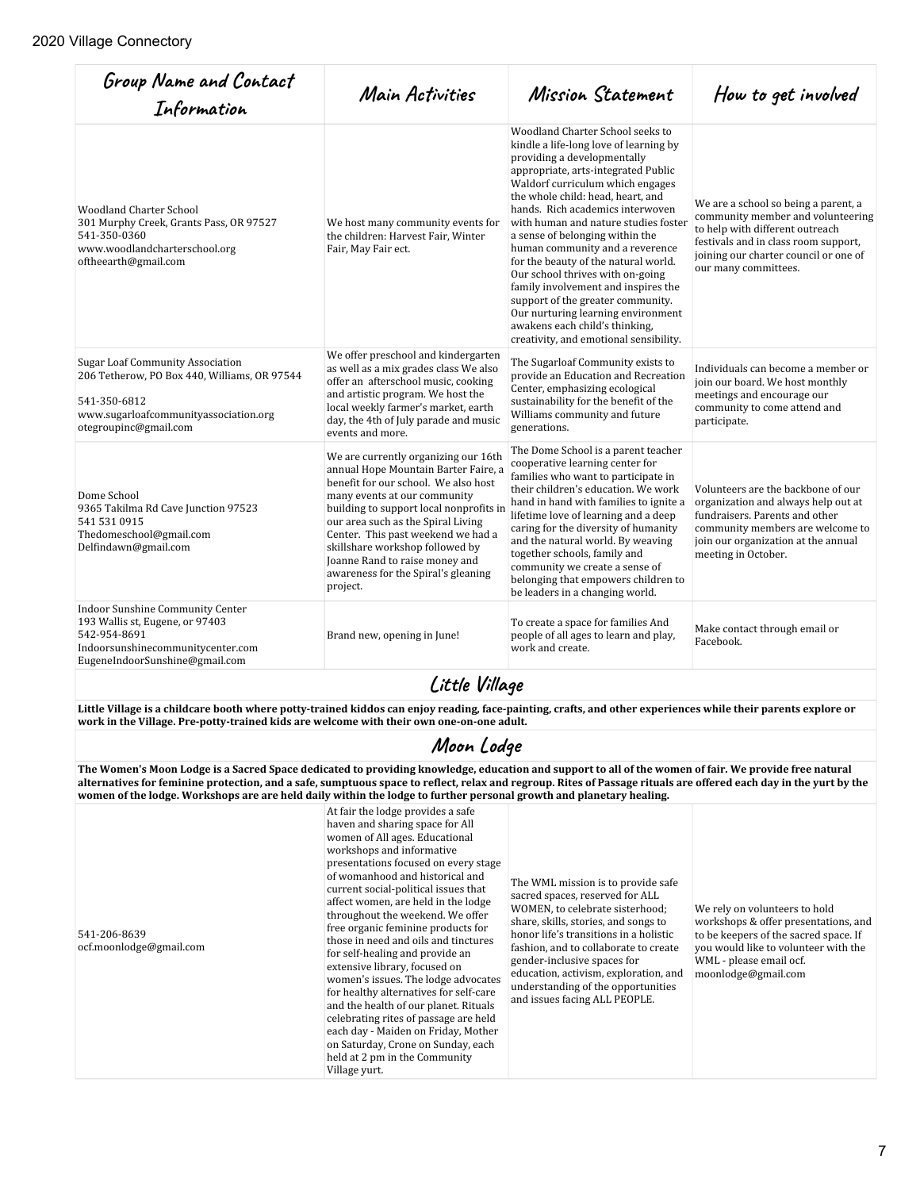| Group Name and Contact<br>Information                                                                                                                                                                                                                     | Main Activities                                                                                                                                                                                                                                                                                                                                                                                     | Mission Statement                                                                                                                                                                                                                                                                                                                                                                                                                                                                                                                                                                                                                                     | How to get involved                                                                                                                                                                                                   |  |
|-----------------------------------------------------------------------------------------------------------------------------------------------------------------------------------------------------------------------------------------------------------|-----------------------------------------------------------------------------------------------------------------------------------------------------------------------------------------------------------------------------------------------------------------------------------------------------------------------------------------------------------------------------------------------------|-------------------------------------------------------------------------------------------------------------------------------------------------------------------------------------------------------------------------------------------------------------------------------------------------------------------------------------------------------------------------------------------------------------------------------------------------------------------------------------------------------------------------------------------------------------------------------------------------------------------------------------------------------|-----------------------------------------------------------------------------------------------------------------------------------------------------------------------------------------------------------------------|--|
| <b>Woodland Charter School</b><br>301 Murphy Creek, Grants Pass, OR 97527<br>541-350-0360<br>www.woodlandcharterschool.org<br>oftheearth@gmail.com                                                                                                        | We host many community events for<br>the children: Harvest Fair, Winter<br>Fair, May Fair ect.                                                                                                                                                                                                                                                                                                      | Woodland Charter School seeks to<br>kindle a life-long love of learning by<br>providing a developmentally<br>appropriate, arts-integrated Public<br>Waldorf curriculum which engages<br>the whole child: head, heart, and<br>hands. Rich academics interwoven<br>with human and nature studies foster<br>a sense of belonging within the<br>human community and a reverence<br>for the beauty of the natural world.<br>Our school thrives with on-going<br>family involvement and inspires the<br>support of the greater community.<br>Our nurturing learning environment<br>awakens each child's thinking,<br>creativity, and emotional sensibility. | We are a school so being a parent, a<br>community member and volunteering<br>to help with different outreach<br>festivals and in class room support,<br>joining our charter council or one of<br>our many committees. |  |
| <b>Sugar Loaf Community Association</b><br>206 Tetherow, PO Box 440, Williams, OR 97544<br>541-350-6812<br>www.sugarloafcommunityassociation.org<br>otegroupinc@gmail.com                                                                                 | We offer preschool and kindergarten<br>as well as a mix grades class We also<br>offer an afterschool music, cooking<br>and artistic program. We host the<br>local weekly farmer's market, earth<br>day, the 4th of July parade and music<br>events and more.                                                                                                                                        | The Sugarloaf Community exists to<br>provide an Education and Recreation<br>Center, emphasizing ecological<br>sustainability for the benefit of the<br>Williams community and future<br>generations.                                                                                                                                                                                                                                                                                                                                                                                                                                                  | Individuals can become a member or<br>join our board. We host monthly<br>meetings and encourage our<br>community to come attend and<br>participate.                                                                   |  |
| Dome School<br>9365 Takilma Rd Cave Junction 97523<br>541 531 0915<br>Thedomeschool@gmail.com<br>Delfindawn@gmail.com                                                                                                                                     | We are currently organizing our 16th<br>annual Hope Mountain Barter Faire, a<br>benefit for our school. We also host<br>many events at our community<br>building to support local nonprofits in<br>our area such as the Spiral Living<br>Center. This past weekend we had a<br>skillshare workshop followed by<br>Joanne Rand to raise money and<br>awareness for the Spiral's gleaning<br>project. | The Dome School is a parent teacher<br>cooperative learning center for<br>families who want to participate in<br>their children's education. We work<br>hand in hand with families to ignite a<br>lifetime love of learning and a deep<br>caring for the diversity of humanity<br>and the natural world. By weaving<br>together schools, family and<br>community we create a sense of<br>belonging that empowers children to<br>be leaders in a changing world.                                                                                                                                                                                       | Volunteers are the backbone of our<br>organization and always help out at<br>fundraisers. Parents and other<br>community members are welcome to<br>join our organization at the annual<br>meeting in October.         |  |
| <b>Indoor Sunshine Community Center</b><br>193 Wallis st, Eugene, or 97403<br>542-954-8691<br>Indoorsunshinecommunitycenter.com<br>EugeneIndoorSunshine@gmail.com                                                                                         | Brand new, opening in June!                                                                                                                                                                                                                                                                                                                                                                         | To create a space for families And<br>people of all ages to learn and play,<br>work and create.                                                                                                                                                                                                                                                                                                                                                                                                                                                                                                                                                       | Make contact through email or<br>Facebook.                                                                                                                                                                            |  |
| Little Village                                                                                                                                                                                                                                            |                                                                                                                                                                                                                                                                                                                                                                                                     |                                                                                                                                                                                                                                                                                                                                                                                                                                                                                                                                                                                                                                                       |                                                                                                                                                                                                                       |  |
| Little Village is a childcare booth where potty-trained kiddos can enjoy reading, face-painting, crafts, and other experiences while their parents explore or<br>work in the Village. Pre-potty-trained kids are welcome with their own one-on-one adult. |                                                                                                                                                                                                                                                                                                                                                                                                     |                                                                                                                                                                                                                                                                                                                                                                                                                                                                                                                                                                                                                                                       |                                                                                                                                                                                                                       |  |
| Moon Lodge                                                                                                                                                                                                                                                |                                                                                                                                                                                                                                                                                                                                                                                                     |                                                                                                                                                                                                                                                                                                                                                                                                                                                                                                                                                                                                                                                       |                                                                                                                                                                                                                       |  |
| The Wamen's Maan Ladge is a Sacred Space dedicated to providing knowledge, education and support to all of the wamen of fair. We provide free natural                                                                                                     |                                                                                                                                                                                                                                                                                                                                                                                                     |                                                                                                                                                                                                                                                                                                                                                                                                                                                                                                                                                                                                                                                       |                                                                                                                                                                                                                       |  |

**The Women's Moon Lodge is a Sacred Space dedicated to providing knowledge, education and support to all of the women of fair. We provide free natural alternatives for feminine protection, and a safe, sumptuous space to reflect, relax and regroup. Rites of Passage rituals are offered each day in the yurt by the women of the lodge. Workshops are are held daily within the lodge to further personal growth and planetary healing.** At fair the lodge provides a safe

haven and sharing space for All women of All ages. Educational workshops and informative presentations focused on every stage of womanhood and historical and current social-political issues that affect women, are held in the lodge throughout the weekend. We offer free organic feminine products for those in need and oils and tinctures for self-healing and provide an extensive library, focused on

for healthy alternatives for self-care and the health of our planet. Rituals celebrating rites of passage are held each day - Maiden on Friday, Mother on Saturday, Crone on Sunday, each held at 2 pm in the Community

Village yurt.

541-206-8639 ocf.moonlodge@gmail.com women's issues. The lodge advocates The WML mission is to provide safe sacred spaces, reserved for ALL WOMEN, to celebrate sisterhood; share, skills, stories, and songs to honor life's transitions in a holistic fashion, and to collaborate to create gender-inclusive spaces for education, activism, exploration, and understanding of the opportunities and issues facing ALL PEOPLE.

We rely on volunteers to hold workshops & offer presentations, and to be keepers of the sacred space. If you would like to volunteer with the WML - please email ocf. moonlodge@gmail.com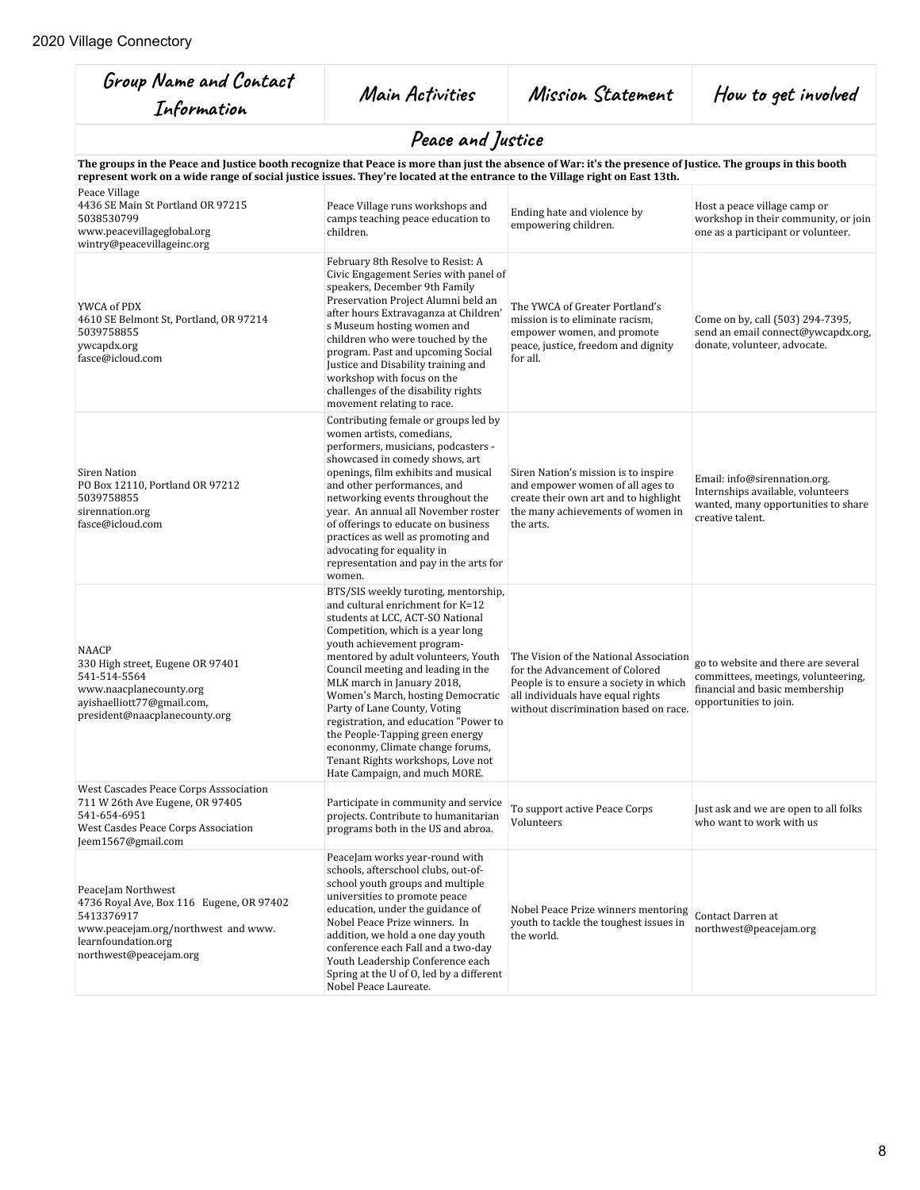| Group Name and Contact<br>Information                                                                                                                                                                                                                                                      | Main Activities                                                                                                                                                                                                                                                                                                                                                                                                                                                                                                                                       | Mission Statement                                                                                                                                                                                | How to get involved                                                                                                                    |
|--------------------------------------------------------------------------------------------------------------------------------------------------------------------------------------------------------------------------------------------------------------------------------------------|-------------------------------------------------------------------------------------------------------------------------------------------------------------------------------------------------------------------------------------------------------------------------------------------------------------------------------------------------------------------------------------------------------------------------------------------------------------------------------------------------------------------------------------------------------|--------------------------------------------------------------------------------------------------------------------------------------------------------------------------------------------------|----------------------------------------------------------------------------------------------------------------------------------------|
|                                                                                                                                                                                                                                                                                            | Peace and Justice                                                                                                                                                                                                                                                                                                                                                                                                                                                                                                                                     |                                                                                                                                                                                                  |                                                                                                                                        |
| The groups in the Peace and Justice booth recognize that Peace is more than just the absence of War: it's the presence of Justice. The groups in this booth<br>represent work on a wide range of social justice issues. They're located at the entrance to the Village right on East 13th. |                                                                                                                                                                                                                                                                                                                                                                                                                                                                                                                                                       |                                                                                                                                                                                                  |                                                                                                                                        |
| Peace Village<br>4436 SE Main St Portland OR 97215<br>5038530799<br>www.peacevillageglobal.org<br>wintry@peacevillageinc.org                                                                                                                                                               | Peace Village runs workshops and<br>camps teaching peace education to<br>children.                                                                                                                                                                                                                                                                                                                                                                                                                                                                    | Ending hate and violence by<br>empowering children.                                                                                                                                              | Host a peace village camp or<br>workshop in their community, or join<br>one as a participant or volunteer.                             |
| YWCA of PDX<br>4610 SE Belmont St, Portland, OR 97214<br>5039758855<br>ywcapdx.org<br>fasce@icloud.com                                                                                                                                                                                     | February 8th Resolve to Resist: A<br>Civic Engagement Series with panel of<br>speakers, December 9th Family<br>Preservation Project Alumni beld an<br>after hours Extravaganza at Children'<br>s Museum hosting women and<br>children who were touched by the<br>program. Past and upcoming Social<br>Justice and Disability training and<br>workshop with focus on the<br>challenges of the disability rights<br>movement relating to race.                                                                                                          | The YWCA of Greater Portland's<br>mission is to eliminate racism,<br>empower women, and promote<br>peace, justice, freedom and dignity<br>for all.                                               | Come on by, call (503) 294-7395,<br>send an email connect@ywcapdx.org,<br>donate, volunteer, advocate.                                 |
| Siren Nation<br>PO Box 12110, Portland OR 97212<br>5039758855<br>sirennation.org<br>fasce@icloud.com                                                                                                                                                                                       | Contributing female or groups led by<br>women artists, comedians,<br>performers, musicians, podcasters -<br>showcased in comedy shows, art<br>openings, film exhibits and musical<br>and other performances, and<br>networking events throughout the<br>year. An annual all November roster<br>of offerings to educate on business<br>practices as well as promoting and<br>advocating for equality in<br>representation and pay in the arts for<br>women.                                                                                            | Siren Nation's mission is to inspire<br>and empower women of all ages to<br>create their own art and to highlight<br>the many achievements of women in<br>the arts.                              | Email: info@sirennation.org.<br>Internships available, volunteers<br>wanted, many opportunities to share<br>creative talent.           |
| <b>NAACP</b><br>330 High street, Eugene OR 97401<br>541-514-5564<br>www.naacplanecounty.org<br>ayishaelliott77@gmail.com,<br>president@naacplanecounty.org                                                                                                                                 | BTS/SIS weekly turoting, mentorship,<br>and cultural enrichment for K=12<br>students at LCC, ACT-SO National<br>Competition, which is a year long<br>youth achievement program-<br>mentored by adult volunteers, Youth<br>Council meeting and leading in the<br>MLK march in January 2018,<br>Women's March, hosting Democratic<br>Party of Lane County, Voting<br>registration, and education "Power to<br>the People-Tapping green energy<br>econonmy, Climate change forums,<br>Tenant Rights workshops, Love not<br>Hate Campaign, and much MORE. | The Vision of the National Association<br>for the Advancement of Colored<br>People is to ensure a society in which<br>all individuals have equal rights<br>without discrimination based on race. | go to website and there are several<br>committees, meetings, volunteering,<br>financial and basic membership<br>opportunities to join. |
| West Cascades Peace Corps Asssociation<br>711 W 26th Ave Eugene, OR 97405<br>541-654-6951<br>West Casdes Peace Corps Association<br>Jeem1567@gmail.com                                                                                                                                     | Participate in community and service<br>projects. Contribute to humanitarian<br>programs both in the US and abroa.                                                                                                                                                                                                                                                                                                                                                                                                                                    | To support active Peace Corps<br>Volunteers                                                                                                                                                      | Just ask and we are open to all folks<br>who want to work with us                                                                      |
| PeaceJam Northwest<br>4736 Royal Ave, Box 116 Eugene, OR 97402<br>5413376917<br>www.peacejam.org/northwest and www.<br>learnfoundation.org<br>northwest@peacejam.org                                                                                                                       | PeaceJam works year-round with<br>schools, afterschool clubs, out-of-<br>school youth groups and multiple<br>universities to promote peace<br>education, under the guidance of<br>Nobel Peace Prize winners. In<br>addition, we hold a one day youth<br>conference each Fall and a two-day<br>Youth Leadership Conference each<br>Spring at the U of O, led by a different<br>Nobel Peace Laureate.                                                                                                                                                   | Nobel Peace Prize winners mentoring<br>youth to tackle the toughest issues in<br>the world.                                                                                                      | Contact Darren at<br>northwest@peacejam.org                                                                                            |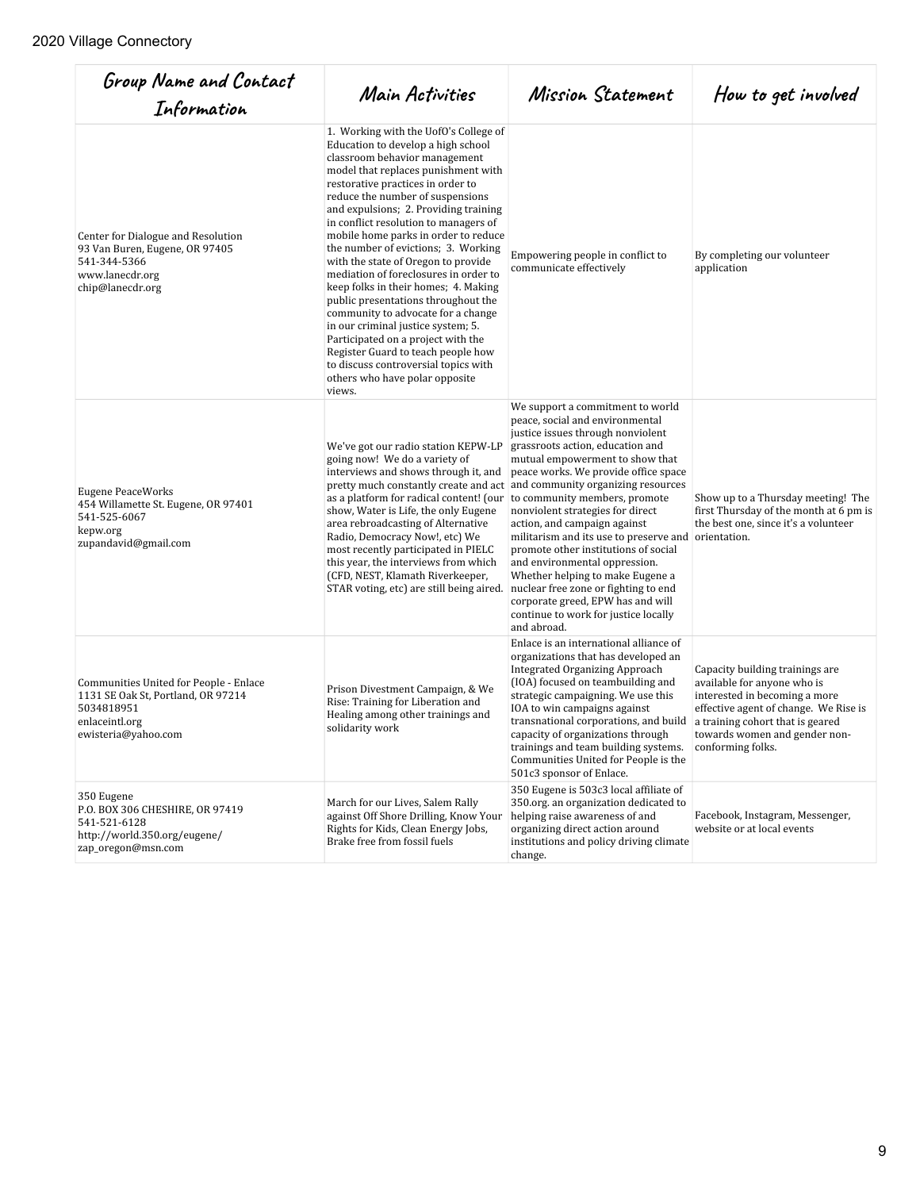| Group Name and Contact<br>Information                                                                                               | Main Activities                                                                                                                                                                                                                                                                                                                                                                                                                                                                                                                                                                                                                                                                                                                                                                                          | Mission Statement                                                                                                                                                                                                                                                                                                                                                                                                                                                                                                                                                                                                                                                          | How to get involved                                                                                                                                                                                                                |
|-------------------------------------------------------------------------------------------------------------------------------------|----------------------------------------------------------------------------------------------------------------------------------------------------------------------------------------------------------------------------------------------------------------------------------------------------------------------------------------------------------------------------------------------------------------------------------------------------------------------------------------------------------------------------------------------------------------------------------------------------------------------------------------------------------------------------------------------------------------------------------------------------------------------------------------------------------|----------------------------------------------------------------------------------------------------------------------------------------------------------------------------------------------------------------------------------------------------------------------------------------------------------------------------------------------------------------------------------------------------------------------------------------------------------------------------------------------------------------------------------------------------------------------------------------------------------------------------------------------------------------------------|------------------------------------------------------------------------------------------------------------------------------------------------------------------------------------------------------------------------------------|
| Center for Dialogue and Resolution<br>93 Van Buren, Eugene, OR 97405<br>541-344-5366<br>www.lanecdr.org<br>chip@lanecdr.org         | 1. Working with the UofO's College of<br>Education to develop a high school<br>classroom behavior management<br>model that replaces punishment with<br>restorative practices in order to<br>reduce the number of suspensions<br>and expulsions; 2. Providing training<br>in conflict resolution to managers of<br>mobile home parks in order to reduce<br>the number of evictions; 3. Working<br>with the state of Oregon to provide<br>mediation of foreclosures in order to<br>keep folks in their homes; 4. Making<br>public presentations throughout the<br>community to advocate for a change<br>in our criminal justice system; 5.<br>Participated on a project with the<br>Register Guard to teach people how<br>to discuss controversial topics with<br>others who have polar opposite<br>views. | Empowering people in conflict to<br>communicate effectively                                                                                                                                                                                                                                                                                                                                                                                                                                                                                                                                                                                                                | By completing our volunteer<br>application                                                                                                                                                                                         |
| <b>Eugene PeaceWorks</b><br>454 Willamette St. Eugene, OR 97401<br>541-525-6067<br>kepw.org<br>zupandavid@gmail.com                 | We've got our radio station KEPW-LP<br>going now! We do a variety of<br>interviews and shows through it, and<br>pretty much constantly create and act<br>as a platform for radical content! (our<br>show, Water is Life, the only Eugene<br>area rebroadcasting of Alternative<br>Radio, Democracy Now!, etc) We<br>most recently participated in PIELC<br>this year, the interviews from which<br>(CFD, NEST, Klamath Riverkeeper,<br>STAR voting, etc) are still being aired.                                                                                                                                                                                                                                                                                                                          | We support a commitment to world<br>peace, social and environmental<br>justice issues through nonviolent<br>grassroots action, education and<br>mutual empowerment to show that<br>peace works. We provide office space<br>and community organizing resources<br>to community members, promote<br>nonviolent strategies for direct<br>action, and campaign against<br>militarism and its use to preserve and orientation.<br>promote other institutions of social<br>and environmental oppression.<br>Whether helping to make Eugene a<br>nuclear free zone or fighting to end<br>corporate greed, EPW has and will<br>continue to work for justice locally<br>and abroad. | Show up to a Thursday meeting! The<br>first Thursday of the month at 6 pm is<br>the best one, since it's a volunteer                                                                                                               |
| Communities United for People - Enlace<br>1131 SE Oak St, Portland, OR 97214<br>5034818951<br>enlaceintl.org<br>ewisteria@yahoo.com | Prison Divestment Campaign, & We<br>Rise: Training for Liberation and<br>Healing among other trainings and<br>solidarity work                                                                                                                                                                                                                                                                                                                                                                                                                                                                                                                                                                                                                                                                            | Enlace is an international alliance of<br>organizations that has developed an<br><b>Integrated Organizing Approach</b><br>(IOA) focused on teambuilding and<br>strategic campaigning. We use this<br>IOA to win campaigns against<br>transnational corporations, and build<br>capacity of organizations through<br>trainings and team building systems.<br>Communities United for People is the<br>501c3 sponsor of Enlace.                                                                                                                                                                                                                                                | Capacity building trainings are<br>available for anyone who is<br>interested in becoming a more<br>effective agent of change. We Rise is<br>a training cohort that is geared<br>towards women and gender non-<br>conforming folks. |
| 350 Eugene<br>P.O. BOX 306 CHESHIRE, OR 97419<br>541-521-6128<br>http://world.350.org/eugene/<br>zap_oregon@msn.com                 | March for our Lives, Salem Rally<br>against Off Shore Drilling, Know Your<br>Rights for Kids, Clean Energy Jobs,<br>Brake free from fossil fuels                                                                                                                                                                                                                                                                                                                                                                                                                                                                                                                                                                                                                                                         | 350 Eugene is 503c3 local affiliate of<br>350.org. an organization dedicated to<br>helping raise awareness of and<br>organizing direct action around<br>institutions and policy driving climate<br>change.                                                                                                                                                                                                                                                                                                                                                                                                                                                                 | Facebook, Instagram, Messenger,<br>website or at local events                                                                                                                                                                      |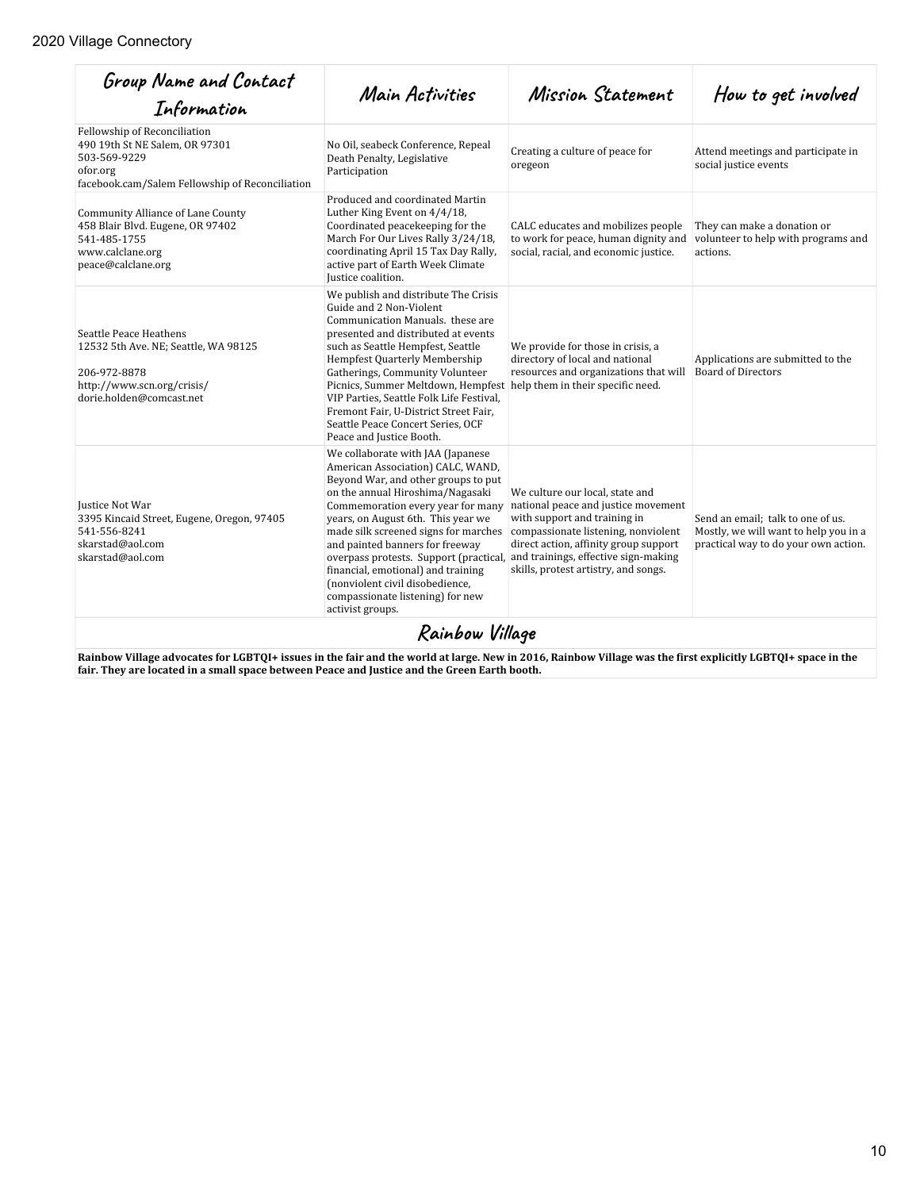| Group Name and Contact<br>Information                                                                                                         | Main Activities                                                                                                                                                                                                                                                                                                                                                                                                                                                                                                         | Mission Statement                                                                                                                                                                                                              | How to get involved                                                                                                |
|-----------------------------------------------------------------------------------------------------------------------------------------------|-------------------------------------------------------------------------------------------------------------------------------------------------------------------------------------------------------------------------------------------------------------------------------------------------------------------------------------------------------------------------------------------------------------------------------------------------------------------------------------------------------------------------|--------------------------------------------------------------------------------------------------------------------------------------------------------------------------------------------------------------------------------|--------------------------------------------------------------------------------------------------------------------|
| Fellowship of Reconciliation<br>490 19th St NE Salem, OR 97301<br>503-569-9229<br>ofor.org<br>facebook.cam/Salem Fellowship of Reconciliation | No Oil, seabeck Conference, Repeal<br>Death Penalty, Legislative<br>Participation                                                                                                                                                                                                                                                                                                                                                                                                                                       | Creating a culture of peace for<br>oregeon                                                                                                                                                                                     | Attend meetings and participate in<br>social justice events                                                        |
| Community Alliance of Lane County<br>458 Blair Blyd. Eugene, OR 97402<br>541-485-1755<br>www.calclane.org<br>peace@calclane.org               | Produced and coordinated Martin<br>Luther King Event on 4/4/18.<br>Coordinated peacekeeping for the<br>March For Our Lives Rally 3/24/18,<br>coordinating April 15 Tax Day Rally,<br>active part of Earth Week Climate<br>Justice coalition.                                                                                                                                                                                                                                                                            | CALC educates and mobilizes people<br>to work for peace, human dignity and<br>social, racial, and economic justice.                                                                                                            | They can make a donation or<br>volunteer to help with programs and<br>actions.                                     |
| Seattle Peace Heathens<br>12532 5th Ave. NE; Seattle, WA 98125<br>206-972-8878<br>http://www.scn.org/crisis/<br>dorie.holden@comcast.net      | We publish and distribute The Crisis<br>Guide and 2 Non-Violent<br>Communication Manuals, these are<br>presented and distributed at events<br>such as Seattle Hempfest, Seattle<br>Hempfest Quarterly Membership<br>Gatherings, Community Volunteer<br>Picnics, Summer Meltdown, Hempfest help them in their specific need.<br>VIP Parties, Seattle Folk Life Festival,<br>Fremont Fair, U-District Street Fair,<br>Seattle Peace Concert Series, OCF<br>Peace and Justice Booth.                                       | We provide for those in crisis, a<br>directory of local and national<br>resources and organizations that will                                                                                                                  | Applications are submitted to the<br><b>Board of Directors</b>                                                     |
| Justice Not War<br>3395 Kincaid Street, Eugene, Oregon, 97405<br>541-556-8241<br>skarstad@aol.com<br>skarstad@aol.com                         | We collaborate with JAA (Japanese<br>American Association) CALC, WAND,<br>Beyond War, and other groups to put<br>on the annual Hiroshima/Nagasaki<br>Commemoration every year for many<br>years, on August 6th. This year we<br>made silk screened signs for marches<br>and painted banners for freeway<br>overpass protests. Support (practical, and trainings, effective sign-making<br>financial, emotional) and training<br>(nonviolent civil disobedience,<br>compassionate listening) for new<br>activist groups. | We culture our local, state and<br>national peace and justice movement<br>with support and training in<br>compassionate listening, nonviolent<br>direct action, affinity group support<br>skills, protest artistry, and songs. | Send an email: talk to one of us.<br>Mostly, we will want to help you in a<br>practical way to do your own action. |
|                                                                                                                                               | Rainbow Village                                                                                                                                                                                                                                                                                                                                                                                                                                                                                                         |                                                                                                                                                                                                                                |                                                                                                                    |

**Rainbow Village advocates for LGBTQI+ issues in the fair and the world at large. New in 2016, Rainbow Village was the first explicitly LGBTQI+ space in the fair. They are located in a small space between Peace and Justice and the Green Earth booth.**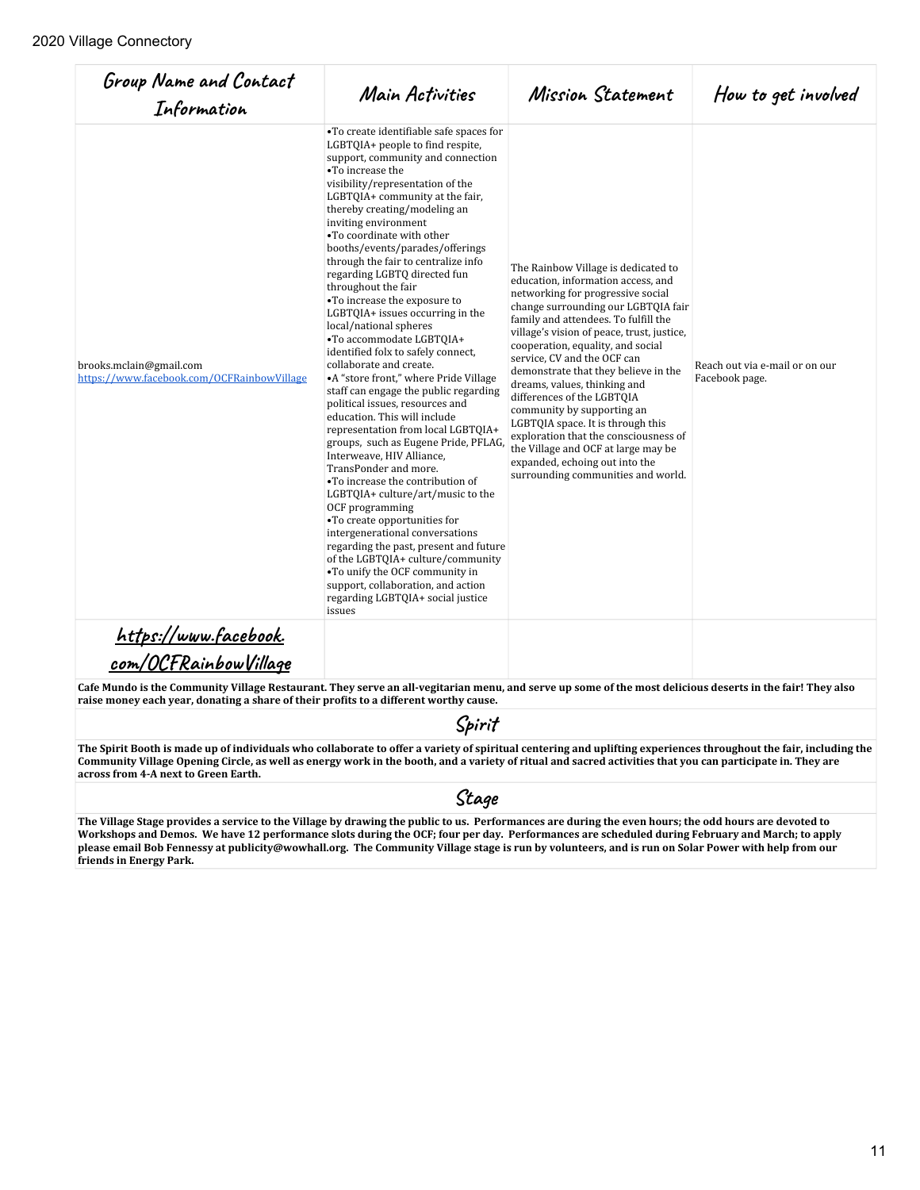| Group Name and Contact<br>Information                                 | Main Activities                                                                                                                                                                                                                                                                                                                                                                                                                                                                                                                                                                                                                                                                                                                                                                                                                                                                                                                                                                                                                                                                                                                                                                                                                                                                             | Mission Statement                                                                                                                                                                                                                                                                                                                                                                                                                                                                                                                                                                                                                                | How to get involved                              |
|-----------------------------------------------------------------------|---------------------------------------------------------------------------------------------------------------------------------------------------------------------------------------------------------------------------------------------------------------------------------------------------------------------------------------------------------------------------------------------------------------------------------------------------------------------------------------------------------------------------------------------------------------------------------------------------------------------------------------------------------------------------------------------------------------------------------------------------------------------------------------------------------------------------------------------------------------------------------------------------------------------------------------------------------------------------------------------------------------------------------------------------------------------------------------------------------------------------------------------------------------------------------------------------------------------------------------------------------------------------------------------|--------------------------------------------------------------------------------------------------------------------------------------------------------------------------------------------------------------------------------------------------------------------------------------------------------------------------------------------------------------------------------------------------------------------------------------------------------------------------------------------------------------------------------------------------------------------------------------------------------------------------------------------------|--------------------------------------------------|
| brooks.mclain@gmail.com<br>https://www.facebook.com/OCFRainbowVillage | •To create identifiable safe spaces for<br>LGBTQIA+ people to find respite,<br>support, community and connection<br>•To increase the<br>visibility/representation of the<br>LGBTQIA+ community at the fair,<br>thereby creating/modeling an<br>inviting environment<br>. To coordinate with other<br>booths/events/parades/offerings<br>through the fair to centralize info<br>regarding LGBTQ directed fun<br>throughout the fair<br>•To increase the exposure to<br>LGBTQIA+ issues occurring in the<br>local/national spheres<br>•To accommodate LGBTQIA+<br>identified folx to safely connect,<br>collaborate and create.<br>•A "store front," where Pride Village<br>staff can engage the public regarding<br>political issues, resources and<br>education. This will include<br>representation from local LGBT0IA+<br>groups, such as Eugene Pride, PFLAG,<br>Interweave, HIV Alliance,<br>TransPonder and more.<br>•To increase the contribution of<br>LGBTQIA+ culture/art/music to the<br>OCF programming<br>•To create opportunities for<br>intergenerational conversations<br>regarding the past, present and future<br>of the LGBTQIA+ culture/community<br>•To unify the OCF community in<br>support, collaboration, and action<br>regarding LGBTQIA+ social justice<br>issues | The Rainbow Village is dedicated to<br>education, information access, and<br>networking for progressive social<br>change surrounding our LGBTQIA fair<br>family and attendees. To fulfill the<br>village's vision of peace, trust, justice,<br>cooperation, equality, and social<br>service, CV and the OCF can<br>demonstrate that they believe in the<br>dreams, values, thinking and<br>differences of the LGBTOIA<br>community by supporting an<br>LGBTQIA space. It is through this<br>exploration that the consciousness of<br>the Village and OCF at large may be<br>expanded, echoing out into the<br>surrounding communities and world. | Reach out via e-mail or on our<br>Facebook page. |
| <u> https://www.facebook.</u><br>com/OCFRainbowVillage                |                                                                                                                                                                                                                                                                                                                                                                                                                                                                                                                                                                                                                                                                                                                                                                                                                                                                                                                                                                                                                                                                                                                                                                                                                                                                                             |                                                                                                                                                                                                                                                                                                                                                                                                                                                                                                                                                                                                                                                  |                                                  |

**Cafe Mundo is the Community Village Restaurant. They serve an all-vegitarian menu, and serve up some of the most delicious deserts in the fair! They also raise money each year, donating a share of their profits to a different worthy cause.** 

#### Spirit

**The Spirit Booth is made up of individuals who collaborate to offer a variety of spiritual centering and uplifting experiences throughout the fair, including the Community Village Opening Circle, as well as energy work in the booth, and a variety of ritual and sacred activities that you can participate in. They are across from 4-A next to Green Earth.**

## **StaƍƋ**

**The Village Stage provides a service to the Village by drawing the public to us. Performances are during the even hours; the odd hours are devoted to Workshops and Demos. We have 12 performance slots during the OCF; four per day. Performances are scheduled during February and March; to apply please email Bob Fennessy at publicity@wowhall.org. The Community Village stage is run by volunteers, and is run on Solar Power with help from our friends in Energy Park.**